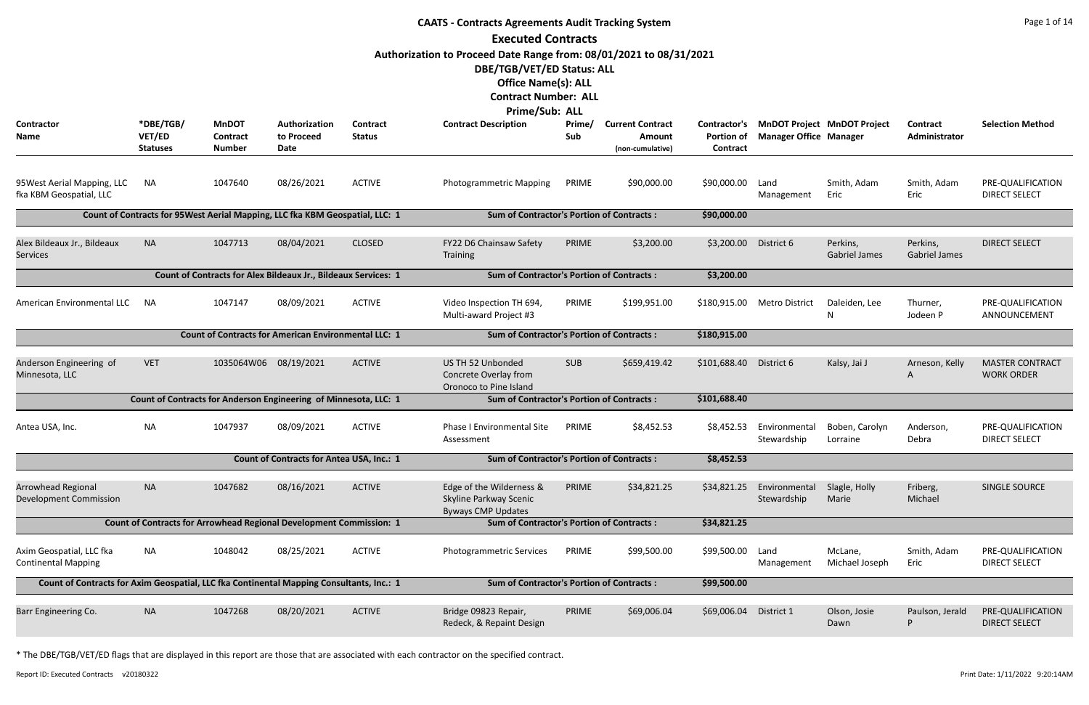|                                                                                          |                                        |                                                                               |                                                  |                           | <b>CAATS - Contracts Agreements Audit Tracking System</b>                       |               |                                                              |                                        |                               |                                    |                                  | Page 1 of 14                                |
|------------------------------------------------------------------------------------------|----------------------------------------|-------------------------------------------------------------------------------|--------------------------------------------------|---------------------------|---------------------------------------------------------------------------------|---------------|--------------------------------------------------------------|----------------------------------------|-------------------------------|------------------------------------|----------------------------------|---------------------------------------------|
|                                                                                          |                                        |                                                                               |                                                  |                           | <b>Executed Contracts</b>                                                       |               |                                                              |                                        |                               |                                    |                                  |                                             |
|                                                                                          |                                        |                                                                               |                                                  |                           | Authorization to Proceed Date Range from: 08/01/2021 to 08/31/2021              |               |                                                              |                                        |                               |                                    |                                  |                                             |
|                                                                                          |                                        |                                                                               |                                                  |                           | DBE/TGB/VET/ED Status: ALL                                                      |               |                                                              |                                        |                               |                                    |                                  |                                             |
|                                                                                          |                                        |                                                                               |                                                  |                           | <b>Office Name(s): ALL</b>                                                      |               |                                                              |                                        |                               |                                    |                                  |                                             |
|                                                                                          |                                        |                                                                               |                                                  |                           | <b>Contract Number: ALL</b>                                                     |               |                                                              |                                        |                               |                                    |                                  |                                             |
|                                                                                          |                                        |                                                                               |                                                  |                           | Prime/Sub: ALL                                                                  |               |                                                              |                                        |                               |                                    |                                  |                                             |
| Contractor<br>Name                                                                       | *DBE/TGB/<br>VET/ED<br><b>Statuses</b> | <b>MnDOT</b><br><b>Contract</b><br><b>Number</b>                              | Authorization<br>to Proceed<br><b>Date</b>       | Contract<br><b>Status</b> | <b>Contract Description</b>                                                     | Prime/<br>Sub | <b>Current Contract</b><br><b>Amount</b><br>(non-cumulative) | Contractor's<br>Portion of<br>Contract | <b>Manager Office Manager</b> | <b>MnDOT Project MnDOT Project</b> | Contract<br>Administrator        | <b>Selection Method</b>                     |
| 95 West Aerial Mapping, LLC<br>fka KBM Geospatial, LLC                                   | <b>NA</b>                              | 1047640                                                                       | 08/26/2021                                       | <b>ACTIVE</b>             | <b>Photogrammetric Mapping</b>                                                  | PRIME         | \$90,000.00                                                  | \$90,000.00                            | Land<br>Management            | Smith, Adam<br>Eric                | Smith, Adam<br>Eric              | PRE-QUALIFICATION<br><b>DIRECT SELECT</b>   |
|                                                                                          |                                        | Count of Contracts for 95 West Aerial Mapping, LLC fka KBM Geospatial, LLC: 1 |                                                  |                           | <b>Sum of Contractor's Portion of Contracts:</b>                                |               |                                                              | \$90,000.00                            |                               |                                    |                                  |                                             |
| Alex Bildeaux Jr., Bildeaux<br><b>Services</b>                                           | <b>NA</b>                              | 1047713                                                                       | 08/04/2021                                       | <b>CLOSED</b>             | FY22 D6 Chainsaw Safety<br>Training                                             | PRIME         | \$3,200.00                                                   | \$3,200.00                             | District 6                    | Perkins,<br><b>Gabriel James</b>   | Perkins,<br><b>Gabriel James</b> | <b>DIRECT SELECT</b>                        |
|                                                                                          |                                        | Count of Contracts for Alex Bildeaux Jr., Bildeaux Services: 1                |                                                  |                           | <b>Sum of Contractor's Portion of Contracts:</b>                                |               |                                                              | \$3,200.00                             |                               |                                    |                                  |                                             |
| American Environmental LLC                                                               | <b>NA</b>                              | 1047147                                                                       | 08/09/2021                                       | <b>ACTIVE</b>             | Video Inspection TH 694,<br>Multi-award Project #3                              | PRIME         | \$199,951.00                                                 | \$180,915.00                           | <b>Metro District</b>         | Daleiden, Lee<br>N                 | Thurner,<br>Jodeen P             | PRE-QUALIFICATION<br>ANNOUNCEMENT           |
|                                                                                          |                                        | <b>Count of Contracts for American Environmental LLC: 1</b>                   |                                                  |                           | <b>Sum of Contractor's Portion of Contracts:</b>                                |               |                                                              | \$180,915.00                           |                               |                                    |                                  |                                             |
| Anderson Engineering of<br>Minnesota, LLC                                                | <b>VET</b>                             | 1035064W06 08/19/2021                                                         |                                                  | <b>ACTIVE</b>             | US TH 52 Unbonded<br>Concrete Overlay from<br>Oronoco to Pine Island            | <b>SUB</b>    | \$659,419.42                                                 | \$101,688.40                           | District 6                    | Kalsy, Jai J                       | Arneson, Kelly<br>A              | <b>MASTER CONTRACT</b><br><b>WORK ORDER</b> |
|                                                                                          |                                        | Count of Contracts for Anderson Engineering of Minnesota, LLC: 1              |                                                  |                           | <b>Sum of Contractor's Portion of Contracts:</b>                                |               |                                                              | \$101,688.40                           |                               |                                    |                                  |                                             |
| Antea USA, Inc.                                                                          | <b>NA</b>                              | 1047937                                                                       | 08/09/2021                                       | <b>ACTIVE</b>             | <b>Phase I Environmental Site</b><br>Assessment                                 | PRIME         | \$8,452.53                                                   | \$8,452.53                             | Environmental<br>Stewardship  | Boben, Carolyn<br>Lorraine         | Anderson,<br>Debra               | PRE-QUALIFICATION<br><b>DIRECT SELECT</b>   |
|                                                                                          |                                        |                                                                               | <b>Count of Contracts for Antea USA, Inc.: 1</b> |                           | <b>Sum of Contractor's Portion of Contracts:</b>                                |               |                                                              | \$8,452.53                             |                               |                                    |                                  |                                             |
| Arrowhead Regional<br><b>Development Commission</b>                                      | <b>NA</b>                              | 1047682                                                                       | 08/16/2021                                       | <b>ACTIVE</b>             | Edge of the Wilderness &<br>Skyline Parkway Scenic<br><b>Byways CMP Updates</b> | PRIME         | \$34,821.25                                                  | \$34,821.25                            | Environmental<br>Stewardship  | Slagle, Holly<br>Marie             | Friberg,<br>Michael              | SINGLE SOURCE                               |
|                                                                                          |                                        | Count of Contracts for Arrowhead Regional Development Commission: 1           |                                                  |                           | <b>Sum of Contractor's Portion of Contracts:</b>                                |               |                                                              | \$34,821.25                            |                               |                                    |                                  |                                             |
| Axim Geospatial, LLC fka<br><b>Continental Mapping</b>                                   | <b>NA</b>                              | 1048042                                                                       | 08/25/2021                                       | <b>ACTIVE</b>             | Photogrammetric Services                                                        | PRIME         | \$99,500.00                                                  | \$99,500.00                            | Land<br>Management            | McLane,<br>Michael Joseph          | Smith, Adam<br>Eric              | PRE-QUALIFICATION<br><b>DIRECT SELECT</b>   |
| Count of Contracts for Axim Geospatial, LLC fka Continental Mapping Consultants, Inc.: 1 |                                        |                                                                               |                                                  |                           | <b>Sum of Contractor's Portion of Contracts:</b>                                |               |                                                              | \$99,500.00                            |                               |                                    |                                  |                                             |
| Barr Engineering Co.                                                                     | <b>NA</b>                              | 1047268                                                                       | 08/20/2021                                       | <b>ACTIVE</b>             | Bridge 09823 Repair,<br>Redeck, & Repaint Design                                | PRIME         | \$69,006.04                                                  | \$69,006.04                            | District 1                    | Olson, Josie<br>Dawn               | Paulson, Jerald<br>P             | PRE-QUALIFICATION<br><b>DIRECT SELECT</b>   |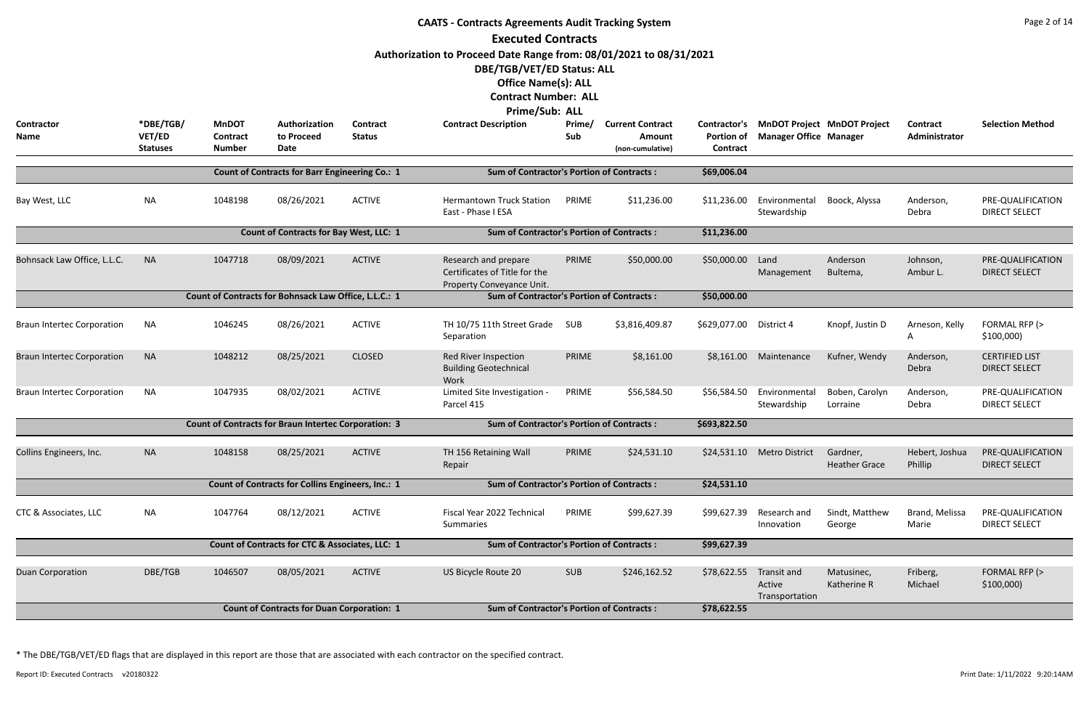|                                   |                                        |                                                  |                                                             |                           | <b>CAATS - Contracts Agreements Audit Tracking System</b><br><b>Executed Contracts</b>                                                                                                                                |               |                                   |                                               |                                         |                                    |                           | Page 2 of 14                                  |
|-----------------------------------|----------------------------------------|--------------------------------------------------|-------------------------------------------------------------|---------------------------|-----------------------------------------------------------------------------------------------------------------------------------------------------------------------------------------------------------------------|---------------|-----------------------------------|-----------------------------------------------|-----------------------------------------|------------------------------------|---------------------------|-----------------------------------------------|
| <b>Contractor</b><br>Name         | *DBE/TGB/<br>VET/ED<br><b>Statuses</b> | <b>MnDOT</b><br><b>Contract</b><br><b>Number</b> | Authorization<br>to Proceed<br>Date                         | Contract<br><b>Status</b> | Authorization to Proceed Date Range from: 08/01/2021 to 08/31/2021<br>DBE/TGB/VET/ED Status: ALL<br><b>Office Name(s): ALL</b><br><b>Contract Number: ALL</b><br><b>Prime/Sub: ALL</b><br><b>Contract Description</b> | Prime/<br>Sub | <b>Current Contract</b><br>Amount | Contractor's<br><b>Portion of</b><br>Contract | <b>Manager Office Manager</b>           | <b>MnDOT Project MnDOT Project</b> | Contract<br>Administrator | <b>Selection Method</b>                       |
|                                   |                                        |                                                  |                                                             |                           |                                                                                                                                                                                                                       |               | (non-cumulative)                  |                                               |                                         |                                    |                           |                                               |
|                                   |                                        |                                                  | <b>Count of Contracts for Barr Engineering Co.: 1</b>       |                           | <b>Sum of Contractor's Portion of Contracts:</b>                                                                                                                                                                      |               |                                   | \$69,006.04                                   |                                         |                                    |                           |                                               |
| Bay West, LLC                     | <b>NA</b>                              | 1048198                                          | 08/26/2021                                                  | <b>ACTIVE</b>             | <b>Hermantown Truck Station</b><br>East - Phase I ESA                                                                                                                                                                 | PRIME         | \$11,236.00                       | \$11,236.00                                   | Environmental<br>Stewardship            | Boock, Alyssa                      | Anderson,<br>Debra        | PRE-QUALIFICATION<br><b>DIRECT SELECT</b>     |
|                                   |                                        |                                                  | <b>Count of Contracts for Bay West, LLC: 1</b>              |                           | <b>Sum of Contractor's Portion of Contracts:</b>                                                                                                                                                                      |               |                                   | \$11,236.00                                   |                                         |                                    |                           |                                               |
| Bohnsack Law Office, L.L.C.       | <b>NA</b>                              | 1047718                                          | 08/09/2021                                                  | <b>ACTIVE</b>             | Research and prepare<br>Certificates of Title for the<br>Property Conveyance Unit.                                                                                                                                    | PRIME         | \$50,000.00                       | \$50,000.00                                   | Land<br>Management                      | Anderson<br>Bultema,               | Johnson,<br>Ambur L.      | PRE-QUALIFICATION<br><b>DIRECT SELECT</b>     |
|                                   |                                        |                                                  | Count of Contracts for Bohnsack Law Office, L.L.C.: 1       |                           | <b>Sum of Contractor's Portion of Contracts:</b>                                                                                                                                                                      |               |                                   | \$50,000.00                                   |                                         |                                    |                           |                                               |
| <b>Braun Intertec Corporation</b> | <b>NA</b>                              | 1046245                                          | 08/26/2021                                                  | <b>ACTIVE</b>             | TH 10/75 11th Street Grade<br>Separation                                                                                                                                                                              | SUB           | \$3,816,409.87                    | \$629,077.00                                  | District 4                              | Knopf, Justin D                    | Arneson, Kelly<br>A       | FORMAL RFP (><br>\$100,000                    |
| <b>Braun Intertec Corporation</b> | <b>NA</b>                              | 1048212                                          | 08/25/2021                                                  | <b>CLOSED</b>             | Red River Inspection<br><b>Building Geotechnical</b><br>Work                                                                                                                                                          | PRIME         | \$8,161.00                        | \$8,161.00                                    | Maintenance                             | Kufner, Wendy                      | Anderson,<br>Debra        | <b>CERTIFIED LIST</b><br><b>DIRECT SELECT</b> |
| <b>Braun Intertec Corporation</b> | <b>NA</b>                              | 1047935                                          | 08/02/2021                                                  | <b>ACTIVE</b>             | Limited Site Investigation -<br>Parcel 415                                                                                                                                                                            | PRIME         | \$56,584.50                       | \$56,584.50                                   | Environmental<br>Stewardship            | Boben, Carolyn<br>Lorraine         | Anderson,<br>Debra        | PRE-QUALIFICATION<br><b>DIRECT SELECT</b>     |
|                                   |                                        |                                                  | <b>Count of Contracts for Braun Intertec Corporation: 3</b> |                           | <b>Sum of Contractor's Portion of Contracts:</b>                                                                                                                                                                      |               |                                   | \$693,822.50                                  |                                         |                                    |                           |                                               |
| Collins Engineers, Inc.           | <b>NA</b>                              | 1048158                                          | 08/25/2021                                                  | <b>ACTIVE</b>             | TH 156 Retaining Wall<br>Repair                                                                                                                                                                                       | PRIME         | \$24,531.10                       |                                               | \$24,531.10 Metro District              | Gardner,<br><b>Heather Grace</b>   | Hebert, Joshua<br>Phillip | PRE-QUALIFICATION<br><b>DIRECT SELECT</b>     |
|                                   |                                        |                                                  | <b>Count of Contracts for Collins Engineers, Inc.: 1</b>    |                           | <b>Sum of Contractor's Portion of Contracts:</b>                                                                                                                                                                      |               |                                   | \$24,531.10                                   |                                         |                                    |                           |                                               |
| CTC & Associates, LLC             | NA                                     | 1047764                                          | 08/12/2021                                                  | <b>ACTIVE</b>             | Fiscal Year 2022 Technical<br>Summaries                                                                                                                                                                               | PRIME         | \$99,627.39                       | \$99,627.39                                   | Research and<br>Innovation              | Sindt, Matthew<br>George           | Brand, Melissa<br>Marie   | PRE-QUALIFICATION<br><b>DIRECT SELECT</b>     |
|                                   |                                        |                                                  | Count of Contracts for CTC & Associates, LLC: 1             |                           | <b>Sum of Contractor's Portion of Contracts:</b>                                                                                                                                                                      | \$99,627.39   |                                   |                                               |                                         |                                    |                           |                                               |
| Duan Corporation                  | DBE/TGB                                | 1046507                                          | 08/05/2021                                                  | <b>ACTIVE</b>             | US Bicycle Route 20                                                                                                                                                                                                   | <b>SUB</b>    | \$246,162.52                      | \$78,622.55                                   | Transit and<br>Active<br>Transportation | Matusinec,<br>Katherine R          | Friberg,<br>Michael       | FORMAL RFP (><br>\$100,000                    |
|                                   |                                        |                                                  | <b>Count of Contracts for Duan Corporation: 1</b>           |                           | <b>Sum of Contractor's Portion of Contracts:</b>                                                                                                                                                                      |               |                                   | \$78,622.55                                   |                                         |                                    |                           |                                               |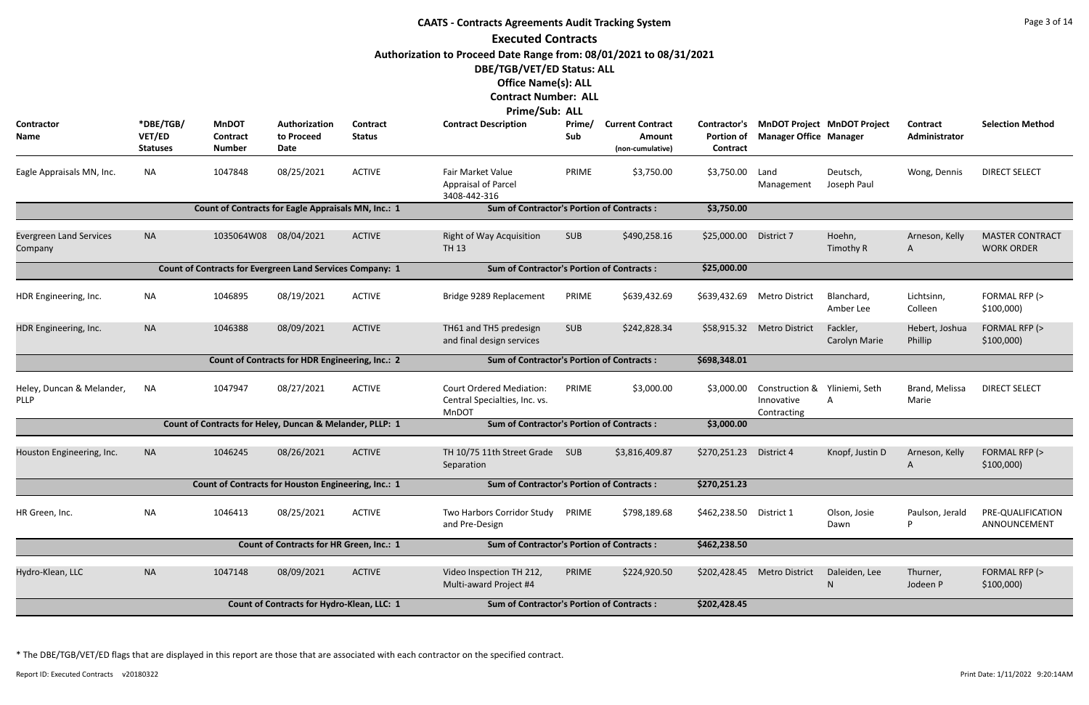|                                           |                                        |                                                                  |                                                        |                           | <b>CAATS - Contracts Agreements Audit Tracking System</b>                        |               |                                                       |                                                      |                                                            |                                    |                                  | Page 3 of 14                                |
|-------------------------------------------|----------------------------------------|------------------------------------------------------------------|--------------------------------------------------------|---------------------------|----------------------------------------------------------------------------------|---------------|-------------------------------------------------------|------------------------------------------------------|------------------------------------------------------------|------------------------------------|----------------------------------|---------------------------------------------|
|                                           |                                        |                                                                  |                                                        |                           | <b>Executed Contracts</b>                                                        |               |                                                       |                                                      |                                                            |                                    |                                  |                                             |
|                                           |                                        |                                                                  |                                                        |                           | Authorization to Proceed Date Range from: 08/01/2021 to 08/31/2021               |               |                                                       |                                                      |                                                            |                                    |                                  |                                             |
|                                           |                                        |                                                                  |                                                        |                           | DBE/TGB/VET/ED Status: ALL                                                       |               |                                                       |                                                      |                                                            |                                    |                                  |                                             |
|                                           |                                        |                                                                  |                                                        |                           | <b>Office Name(s): ALL</b>                                                       |               |                                                       |                                                      |                                                            |                                    |                                  |                                             |
|                                           |                                        |                                                                  |                                                        |                           | <b>Contract Number: ALL</b>                                                      |               |                                                       |                                                      |                                                            |                                    |                                  |                                             |
|                                           |                                        |                                                                  |                                                        |                           | Prime/Sub: ALL                                                                   |               |                                                       |                                                      |                                                            |                                    |                                  |                                             |
| Contractor<br>Name                        | *DBE/TGB/<br>VET/ED<br><b>Statuses</b> | <b>MnDOT</b><br><b>Contract</b><br><b>Number</b>                 | Authorization<br>to Proceed<br>Date                    | Contract<br><b>Status</b> | <b>Contract Description</b>                                                      | Prime/<br>Sub | <b>Current Contract</b><br>Amount<br>(non-cumulative) | <b>Contractor's</b><br><b>Portion of</b><br>Contract | <b>Manager Office Manager</b>                              | <b>MnDOT Project MnDOT Project</b> | <b>Contract</b><br>Administrator | <b>Selection Method</b>                     |
| Eagle Appraisals MN, Inc.                 | <b>NA</b>                              | 1047848                                                          | 08/25/2021                                             | <b>ACTIVE</b>             | Fair Market Value<br>Appraisal of Parcel<br>3408-442-316                         | PRIME         | \$3,750.00                                            | \$3,750.00                                           | Land<br>Management                                         | Deutsch,<br>Joseph Paul            | Wong, Dennis                     | <b>DIRECT SELECT</b>                        |
|                                           |                                        | Count of Contracts for Eagle Appraisals MN, Inc.: 1              |                                                        |                           | <b>Sum of Contractor's Portion of Contracts:</b>                                 |               |                                                       | \$3,750.00                                           |                                                            |                                    |                                  |                                             |
| <b>Evergreen Land Services</b><br>Company | <b>NA</b>                              | 1035064W08 08/04/2021                                            |                                                        | <b>ACTIVE</b>             | <b>Right of Way Acquisition</b><br><b>TH 13</b>                                  | <b>SUB</b>    | \$490,258.16                                          | \$25,000.00                                          | District 7                                                 | Hoehn,<br>Timothy R                | Arneson, Kelly<br>A              | <b>MASTER CONTRACT</b><br><b>WORK ORDER</b> |
|                                           |                                        | <b>Count of Contracts for Evergreen Land Services Company: 1</b> |                                                        |                           | <b>Sum of Contractor's Portion of Contracts:</b>                                 |               |                                                       | \$25,000.00                                          |                                                            |                                    |                                  |                                             |
| HDR Engineering, Inc.                     | <b>NA</b>                              | 1046895                                                          | 08/19/2021                                             | <b>ACTIVE</b>             | Bridge 9289 Replacement                                                          | PRIME         | \$639,432.69                                          | \$639,432.69                                         | <b>Metro District</b>                                      | Blanchard,<br>Amber Lee            | Lichtsinn,<br>Colleen            | FORMAL RFP (><br>\$100,000                  |
| HDR Engineering, Inc.                     | <b>NA</b>                              | 1046388                                                          | 08/09/2021                                             | <b>ACTIVE</b>             | TH61 and TH5 predesign<br>and final design services                              | <b>SUB</b>    | \$242,828.34                                          |                                                      | \$58,915.32 Metro District                                 | Fackler,<br>Carolyn Marie          | Hebert, Joshua<br>Phillip        | FORMAL RFP (><br>\$100,000                  |
|                                           |                                        |                                                                  | <b>Count of Contracts for HDR Engineering, Inc.: 2</b> |                           | <b>Sum of Contractor's Portion of Contracts:</b>                                 |               |                                                       | \$698,348.01                                         |                                                            |                                    |                                  |                                             |
| Heley, Duncan & Melander,<br><b>PLLP</b>  | <b>NA</b>                              | 1047947                                                          | 08/27/2021                                             | <b>ACTIVE</b>             | <b>Court Ordered Mediation:</b><br>Central Specialties, Inc. vs.<br><b>MnDOT</b> | PRIME         | \$3,000.00                                            | \$3,000.00                                           | Construction & Yliniemi, Seth<br>Innovative<br>Contracting |                                    | Brand, Melissa<br>Marie          | <b>DIRECT SELECT</b>                        |
|                                           |                                        | Count of Contracts for Heley, Duncan & Melander, PLLP: 1         |                                                        |                           | <b>Sum of Contractor's Portion of Contracts:</b>                                 |               |                                                       | \$3,000.00                                           |                                                            |                                    |                                  |                                             |
| Houston Engineering, Inc.                 | <b>NA</b>                              | 1046245                                                          | 08/26/2021                                             | <b>ACTIVE</b>             | TH 10/75 11th Street Grade<br>Separation                                         | SUB           | \$3,816,409.87                                        | \$270,251.23                                         | District 4                                                 | Knopf, Justin D                    | Arneson, Kelly<br>A              | FORMAL RFP (><br>\$100,000                  |
|                                           |                                        | Count of Contracts for Houston Engineering, Inc.: 1              |                                                        |                           | <b>Sum of Contractor's Portion of Contracts:</b>                                 |               |                                                       | \$270,251.23                                         |                                                            |                                    |                                  |                                             |
| HR Green, Inc.                            | <b>NA</b>                              | 1046413                                                          | 08/25/2021                                             | <b>ACTIVE</b>             | Two Harbors Corridor Study<br>and Pre-Design                                     | PRIME         | \$798,189.68                                          | \$462,238.50                                         | District 1                                                 | Olson, Josie<br>Dawn               | Paulson, Jerald<br>P             | PRE-QUALIFICATION<br>ANNOUNCEMENT           |
|                                           |                                        |                                                                  | Count of Contracts for HR Green, Inc.: 1               |                           | <b>Sum of Contractor's Portion of Contracts:</b>                                 |               |                                                       | \$462,238.50                                         |                                                            |                                    |                                  |                                             |
| Hydro-Klean, LLC                          | <b>NA</b>                              | 1047148                                                          | 08/09/2021                                             | <b>ACTIVE</b>             | Video Inspection TH 212,<br>Multi-award Project #4                               | PRIME         | \$224,920.50                                          | \$202,428.45                                         | <b>Metro District</b>                                      | Daleiden, Lee<br>N                 | Thurner,<br>Jodeen P             | FORMAL RFP (><br>\$100,000                  |
|                                           |                                        |                                                                  | Count of Contracts for Hydro-Klean, LLC: 1             |                           | <b>Sum of Contractor's Portion of Contracts:</b>                                 |               |                                                       | \$202,428.45                                         |                                                            |                                    |                                  |                                             |
|                                           |                                        |                                                                  |                                                        |                           |                                                                                  |               |                                                       |                                                      |                                                            |                                    |                                  |                                             |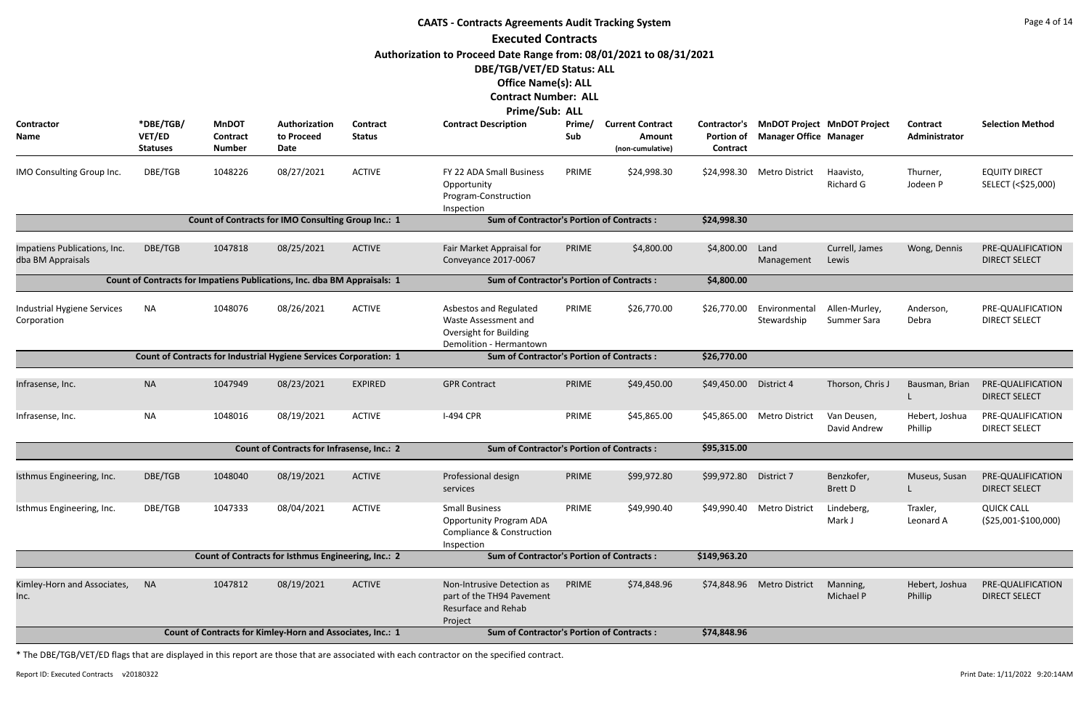|                                                                          |                                        |                                                  |                                                                          |                           | <b>CAATS - Contracts Agreements Audit Tracking System</b>                                                     |               |                                                       |                                                      |                                        |                                    |                           | Page 4 of 14                               |
|--------------------------------------------------------------------------|----------------------------------------|--------------------------------------------------|--------------------------------------------------------------------------|---------------------------|---------------------------------------------------------------------------------------------------------------|---------------|-------------------------------------------------------|------------------------------------------------------|----------------------------------------|------------------------------------|---------------------------|--------------------------------------------|
|                                                                          |                                        |                                                  |                                                                          |                           | <b>Executed Contracts</b>                                                                                     |               |                                                       |                                                      |                                        |                                    |                           |                                            |
|                                                                          |                                        |                                                  |                                                                          |                           | Authorization to Proceed Date Range from: 08/01/2021 to 08/31/2021<br>DBE/TGB/VET/ED Status: ALL              |               |                                                       |                                                      |                                        |                                    |                           |                                            |
|                                                                          |                                        |                                                  |                                                                          |                           | <b>Office Name(s): ALL</b><br><b>Contract Number: ALL</b>                                                     |               |                                                       |                                                      |                                        |                                    |                           |                                            |
|                                                                          |                                        |                                                  |                                                                          |                           | Prime/Sub: ALL                                                                                                |               |                                                       |                                                      |                                        |                                    |                           |                                            |
| Contractor<br><b>Name</b>                                                | *DBE/TGB/<br>VET/ED<br><b>Statuses</b> | <b>MnDOT</b><br><b>Contract</b><br><b>Number</b> | Authorization<br>to Proceed<br>Date                                      | Contract<br><b>Status</b> | <b>Contract Description</b>                                                                                   | Prime/<br>Sub | <b>Current Contract</b><br>Amount<br>(non-cumulative) | <b>Contractor's</b><br><b>Portion of</b><br>Contract | <b>Manager Office Manager</b>          | <b>MnDOT Project MnDOT Project</b> | Contract<br>Administrator | <b>Selection Method</b>                    |
| IMO Consulting Group Inc.                                                | DBE/TGB                                | 1048226                                          | 08/27/2021                                                               | <b>ACTIVE</b>             | FY 22 ADA Small Business<br>Opportunity<br>Program-Construction<br>Inspection                                 | PRIME         | \$24,998.30                                           |                                                      | \$24,998.30 Metro District             | Haavisto,<br>Richard G             | Thurner,<br>Jodeen P      | <b>EQUITY DIRECT</b><br>SELECT (<\$25,000) |
|                                                                          |                                        |                                                  | Count of Contracts for IMO Consulting Group Inc.: 1                      |                           | <b>Sum of Contractor's Portion of Contracts:</b>                                                              |               |                                                       | \$24,998.30                                          |                                        |                                    |                           |                                            |
| Impatiens Publications, Inc.<br>dba BM Appraisals                        | DBE/TGB                                | 1047818                                          | 08/25/2021                                                               | <b>ACTIVE</b>             | Fair Market Appraisal for<br>Conveyance 2017-0067                                                             | PRIME         | \$4,800.00                                            | \$4,800.00                                           | Land<br>Management                     | Currell, James<br>Lewis            | Wong, Dennis              | PRE-QUALIFICATION<br><b>DIRECT SELECT</b>  |
| Count of Contracts for Impatiens Publications, Inc. dba BM Appraisals: 1 |                                        |                                                  |                                                                          |                           |                                                                                                               |               |                                                       |                                                      |                                        |                                    |                           |                                            |
| Industrial Hygiene Services<br>Corporation                               | <b>NA</b>                              | 1048076                                          | 08/26/2021                                                               | <b>ACTIVE</b>             | Asbestos and Regulated<br>Waste Assessment and<br><b>Oversight for Building</b><br>Demolition - Hermantown    | PRIME         | \$26,770.00                                           | \$26,770.00                                          | Environmental<br>Stewardship           | Allen-Murley,<br>Summer Sara       | Anderson,<br>Debra        | PRE-QUALIFICATION<br><b>DIRECT SELECT</b>  |
|                                                                          |                                        |                                                  | <b>Count of Contracts for Industrial Hygiene Services Corporation: 1</b> |                           | <b>Sum of Contractor's Portion of Contracts:</b>                                                              |               |                                                       | \$26,770.00                                          |                                        |                                    |                           |                                            |
|                                                                          |                                        |                                                  |                                                                          |                           |                                                                                                               |               |                                                       |                                                      |                                        |                                    |                           |                                            |
| Infrasense, Inc.                                                         | <b>NA</b>                              | 1047949                                          | 08/23/2021                                                               | <b>EXPIRED</b>            | <b>GPR Contract</b>                                                                                           | PRIME         | \$49,450.00                                           | \$49,450.00                                          | District 4                             | Thorson, Chris J                   | Bausman, Brian            | PRE-QUALIFICATION<br><b>DIRECT SELECT</b>  |
| Infrasense, Inc.                                                         | <b>NA</b>                              | 1048016                                          | 08/19/2021                                                               | <b>ACTIVE</b>             | <b>I-494 CPR</b>                                                                                              | PRIME         | \$45,865.00                                           |                                                      | \$45,865.00 Metro District Van Deusen, | David Andrew                       | Hebert, Joshua<br>Phillip | PRE-QUALIFICATION<br><b>DIRECT SELECT</b>  |
|                                                                          |                                        |                                                  | <b>Count of Contracts for Infrasense, Inc.: 2</b>                        |                           | <b>Sum of Contractor's Portion of Contracts:</b>                                                              |               |                                                       | \$95,315.00                                          |                                        |                                    |                           |                                            |
| Isthmus Engineering, Inc.                                                | DBE/TGB                                | 1048040                                          | 08/19/2021                                                               | <b>ACTIVE</b>             | Professional design<br>services                                                                               | PRIME         | \$99,972.80                                           | \$99,972.80                                          | District 7                             | Benzkofer,<br><b>Brett D</b>       | Museus, Susan             | PRE-QUALIFICATION<br><b>DIRECT SELECT</b>  |
| Isthmus Engineering, Inc.                                                | DBE/TGB                                | 1047333                                          | 08/04/2021                                                               | <b>ACTIVE</b>             | <b>Small Business</b><br><b>Opportunity Program ADA</b><br><b>Compliance &amp; Construction</b><br>Inspection | PRIME         | \$49,990.40                                           |                                                      | \$49,990.40 Metro District             | Lindeberg,<br>Mark J               | Traxler,<br>Leonard A     | <b>QUICK CALL</b><br>(\$25,001-\$100,000)  |
|                                                                          |                                        |                                                  | Count of Contracts for Isthmus Engineering, Inc.: 2                      |                           | <b>Sum of Contractor's Portion of Contracts:</b>                                                              |               |                                                       | \$149,963.20                                         |                                        |                                    |                           |                                            |
| Kimley-Horn and Associates,<br>Inc.                                      | <b>NA</b>                              | 1047812                                          | 08/19/2021                                                               | <b>ACTIVE</b>             | Non-Intrusive Detection as<br>part of the TH94 Pavement<br>Resurface and Rehab<br>Project                     | PRIME         | \$74,848.96                                           |                                                      | \$74,848.96 Metro District             | Manning,<br>Michael P              | Hebert, Joshua<br>Phillip | PRE-QUALIFICATION<br><b>DIRECT SELECT</b>  |
|                                                                          |                                        |                                                  | Count of Contracts for Kimley-Horn and Associates, Inc.: 1               |                           | <b>Sum of Contractor's Portion of Contracts:</b>                                                              |               |                                                       | \$74,848.96                                          |                                        |                                    |                           |                                            |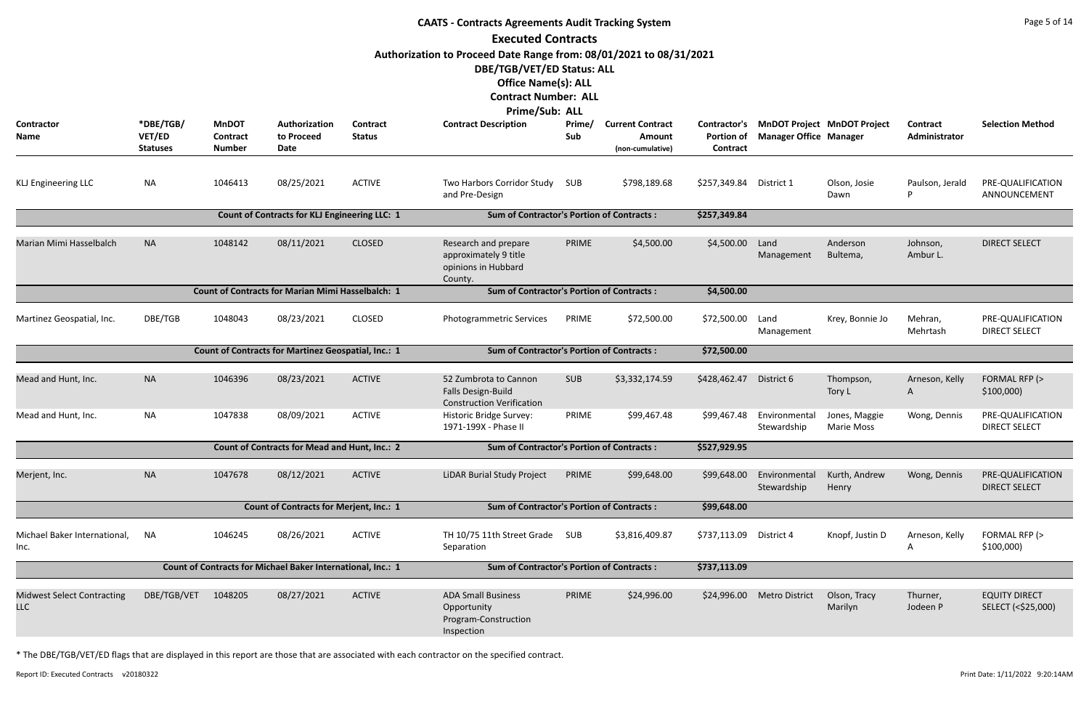|                                                 |                                        |                                           |                                                             |                                  | <b>CAATS - Contracts Agreements Audit Tracking System</b>                                                                      |               |                                                       |                               |                                                                           |                         |                           | Page 5 of 14                               |
|-------------------------------------------------|----------------------------------------|-------------------------------------------|-------------------------------------------------------------|----------------------------------|--------------------------------------------------------------------------------------------------------------------------------|---------------|-------------------------------------------------------|-------------------------------|---------------------------------------------------------------------------|-------------------------|---------------------------|--------------------------------------------|
|                                                 |                                        |                                           |                                                             |                                  | <b>Executed Contracts</b>                                                                                                      |               |                                                       |                               |                                                                           |                         |                           |                                            |
|                                                 |                                        |                                           |                                                             |                                  | Authorization to Proceed Date Range from: 08/01/2021 to 08/31/2021<br>DBE/TGB/VET/ED Status: ALL<br><b>Office Name(s): ALL</b> |               |                                                       |                               |                                                                           |                         |                           |                                            |
|                                                 |                                        |                                           |                                                             |                                  | <b>Contract Number: ALL</b>                                                                                                    |               |                                                       |                               |                                                                           |                         |                           |                                            |
| Contractor<br>Name                              | *DBE/TGB/<br>VET/ED<br><b>Statuses</b> | <b>MnDOT</b><br>Contract<br><b>Number</b> | Authorization<br>to Proceed<br>Date                         | <b>Contract</b><br><b>Status</b> | Prime/Sub: ALL<br><b>Contract Description</b>                                                                                  | Prime/<br>Sub | <b>Current Contract</b><br>Amount<br>(non-cumulative) | <b>Portion of</b><br>Contract | Contractor's MnDOT Project MnDOT Project<br><b>Manager Office Manager</b> |                         | Contract<br>Administrator | <b>Selection Method</b>                    |
| <b>KLJ Engineering LLC</b>                      | <b>NA</b>                              | 1046413                                   | 08/25/2021                                                  | <b>ACTIVE</b>                    | Two Harbors Corridor Study<br>and Pre-Design                                                                                   | SUB           | \$798,189.68                                          | \$257,349.84                  | District 1                                                                | Olson, Josie<br>Dawn    | Paulson, Jerald<br>P      | PRE-QUALIFICATION<br>ANNOUNCEMENT          |
|                                                 |                                        |                                           | Count of Contracts for KLJ Engineering LLC: 1               |                                  | <b>Sum of Contractor's Portion of Contracts:</b>                                                                               |               |                                                       | \$257,349.84                  |                                                                           |                         |                           |                                            |
| Marian Mimi Hasselbalch                         | <b>NA</b>                              | 1048142                                   | 08/11/2021                                                  | <b>CLOSED</b>                    | Research and prepare<br>approximately 9 title<br>opinions in Hubbard<br>County.                                                | PRIME         | \$4,500.00                                            | \$4,500.00                    | Land<br>Management                                                        | Anderson<br>Bultema,    | Johnson,<br>Ambur L.      | <b>DIRECT SELECT</b>                       |
|                                                 |                                        |                                           | <b>Count of Contracts for Marian Mimi Hasselbalch: 1</b>    |                                  | <b>Sum of Contractor's Portion of Contracts:</b>                                                                               |               |                                                       | \$4,500.00                    |                                                                           |                         |                           |                                            |
| Martinez Geospatial, Inc.                       | DBE/TGB                                | 1048043                                   | 08/23/2021                                                  | <b>CLOSED</b>                    | Photogrammetric Services                                                                                                       | PRIME         | \$72,500.00                                           | \$72,500.00                   | Land<br>Management                                                        | Krey, Bonnie Jo         | Mehran,<br>Mehrtash       | PRE-QUALIFICATION<br><b>DIRECT SELECT</b>  |
|                                                 |                                        |                                           | Count of Contracts for Martinez Geospatial, Inc.: 1         |                                  | <b>Sum of Contractor's Portion of Contracts:</b>                                                                               |               |                                                       | \$72,500.00                   |                                                                           |                         |                           |                                            |
| Mead and Hunt, Inc.                             | <b>NA</b>                              | 1046396                                   | 08/23/2021                                                  | <b>ACTIVE</b>                    | 52 Zumbrota to Cannon<br>Falls Design-Build<br><b>Construction Verification</b>                                                | <b>SUB</b>    | \$3,332,174.59                                        | \$428,462.47                  | District 6                                                                | Thompson,<br>Tory L     | Arneson, Kelly<br>A       | FORMAL RFP (><br>\$100,000                 |
| Mead and Hunt, Inc.                             | <b>NA</b>                              | 1047838                                   | 08/09/2021                                                  | <b>ACTIVE</b>                    | Historic Bridge Survey:<br>1971-199X - Phase II                                                                                | PRIME         | \$99,467.48                                           |                               | \$99,467.48 Environmental Jones, Maggie<br>Stewardship                    | Marie Moss              | Wong, Dennis              | PRE-QUALIFICATION<br>DIRECT SELECT         |
|                                                 |                                        |                                           | <b>Count of Contracts for Mead and Hunt, Inc.: 2</b>        |                                  | <b>Sum of Contractor's Portion of Contracts:</b>                                                                               |               |                                                       | \$527,929.95                  |                                                                           |                         |                           |                                            |
| Merjent, Inc.                                   | <b>NA</b>                              | 1047678                                   | 08/12/2021                                                  | <b>ACTIVE</b>                    | LiDAR Burial Study Project                                                                                                     | PRIME         | \$99,648.00                                           | \$99,648.00                   | Environmental<br>Stewardship                                              | Kurth, Andrew<br>Henry  | Wong, Dennis              | PRE-QUALIFICATION<br><b>DIRECT SELECT</b>  |
|                                                 |                                        |                                           | <b>Count of Contracts for Merjent, Inc.: 1</b>              |                                  | <b>Sum of Contractor's Portion of Contracts:</b>                                                                               |               |                                                       | \$99,648.00                   |                                                                           |                         |                           |                                            |
| Michael Baker International,<br>Inc.            | NA                                     | 1046245                                   | 08/26/2021                                                  | <b>ACTIVE</b>                    | TH 10/75 11th Street Grade SUB<br>Separation                                                                                   |               | \$3,816,409.87                                        | \$737,113.09                  | District 4                                                                | Knopf, Justin D         | Arneson, Kelly<br>A       | FORMAL RFP (><br>\$100,000                 |
|                                                 |                                        |                                           | Count of Contracts for Michael Baker International, Inc.: 1 |                                  | <b>Sum of Contractor's Portion of Contracts:</b>                                                                               |               |                                                       | \$737,113.09                  |                                                                           |                         |                           |                                            |
| <b>Midwest Select Contracting</b><br><b>LLC</b> | DBE/TGB/VET                            | 1048205                                   | 08/27/2021                                                  | <b>ACTIVE</b>                    | <b>ADA Small Business</b><br>Opportunity<br>Program-Construction<br>Inspection                                                 | PRIME         | \$24,996.00                                           | \$24,996.00                   | <b>Metro District</b>                                                     | Olson, Tracy<br>Marilyn | Thurner,<br>Jodeen P      | <b>EQUITY DIRECT</b><br>SELECT (<\$25,000) |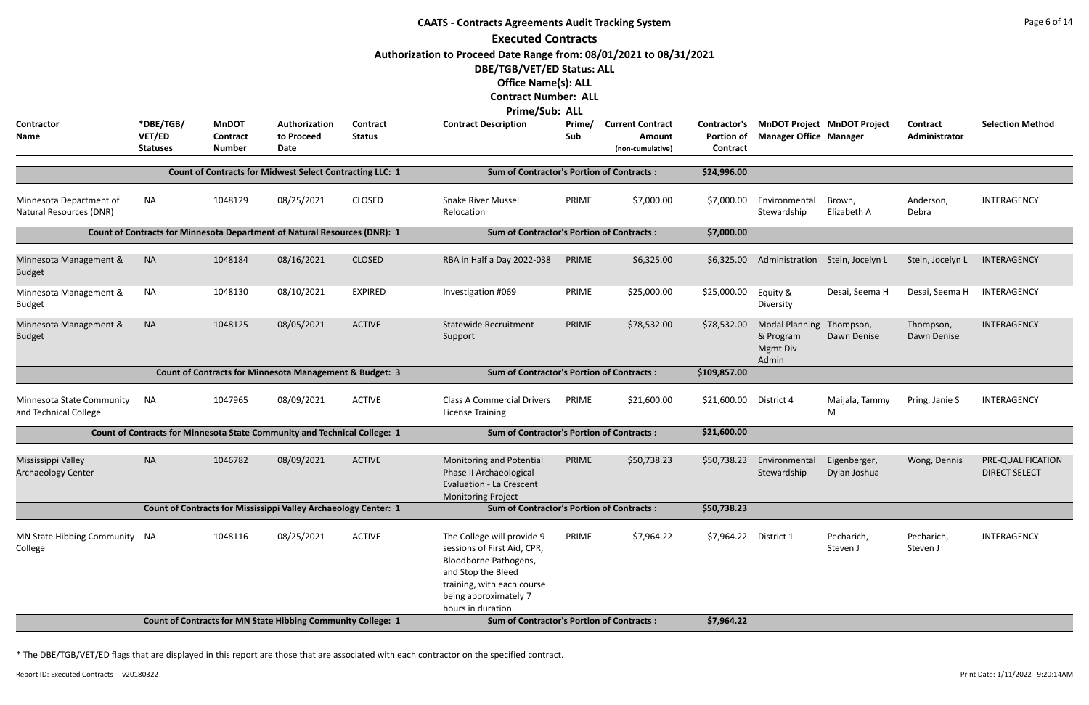|                                                    |                                        |                                                  |                                                                           |                           | <b>CAATS - Contracts Agreements Audit Tracking System</b>                                                                                                                             |               |                                                       |                                                      |                                                         |                                    |                                  | Page 6 of 14                              |
|----------------------------------------------------|----------------------------------------|--------------------------------------------------|---------------------------------------------------------------------------|---------------------------|---------------------------------------------------------------------------------------------------------------------------------------------------------------------------------------|---------------|-------------------------------------------------------|------------------------------------------------------|---------------------------------------------------------|------------------------------------|----------------------------------|-------------------------------------------|
|                                                    |                                        |                                                  |                                                                           |                           | <b>Executed Contracts</b>                                                                                                                                                             |               |                                                       |                                                      |                                                         |                                    |                                  |                                           |
|                                                    |                                        |                                                  |                                                                           |                           | Authorization to Proceed Date Range from: 08/01/2021 to 08/31/2021                                                                                                                    |               |                                                       |                                                      |                                                         |                                    |                                  |                                           |
|                                                    |                                        |                                                  |                                                                           |                           | DBE/TGB/VET/ED Status: ALL                                                                                                                                                            |               |                                                       |                                                      |                                                         |                                    |                                  |                                           |
|                                                    |                                        |                                                  |                                                                           |                           | <b>Office Name(s): ALL</b>                                                                                                                                                            |               |                                                       |                                                      |                                                         |                                    |                                  |                                           |
|                                                    |                                        |                                                  |                                                                           |                           | <b>Contract Number: ALL</b><br><b>Prime/Sub: ALL</b>                                                                                                                                  |               |                                                       |                                                      |                                                         |                                    |                                  |                                           |
| <b>Contractor</b><br>Name                          | *DBE/TGB/<br>VET/ED<br><b>Statuses</b> | <b>MnDOT</b><br><b>Contract</b><br><b>Number</b> | Authorization<br>to Proceed<br>Date                                       | Contract<br><b>Status</b> | <b>Contract Description</b>                                                                                                                                                           | Prime/<br>Sub | <b>Current Contract</b><br>Amount<br>(non-cumulative) | <b>Contractor's</b><br><b>Portion of</b><br>Contract | <b>Manager Office Manager</b>                           | <b>MnDOT Project MnDOT Project</b> | <b>Contract</b><br>Administrator | <b>Selection Method</b>                   |
|                                                    |                                        |                                                  | <b>Count of Contracts for Midwest Select Contracting LLC: 1</b>           |                           | <b>Sum of Contractor's Portion of Contracts:</b>                                                                                                                                      |               |                                                       | \$24,996.00                                          |                                                         |                                    |                                  |                                           |
| Minnesota Department of<br>Natural Resources (DNR) | NA                                     | 1048129                                          | 08/25/2021                                                                | <b>CLOSED</b>             | <b>Snake River Mussel</b><br>Relocation                                                                                                                                               | PRIME         | \$7,000.00                                            | \$7,000.00                                           | Environmental<br>Stewardship                            | Brown,<br>Elizabeth A              | Anderson,<br>Debra               | INTERAGENCY                               |
|                                                    |                                        |                                                  | Count of Contracts for Minnesota Department of Natural Resources (DNR): 1 |                           | <b>Sum of Contractor's Portion of Contracts:</b>                                                                                                                                      |               |                                                       | \$7,000.00                                           |                                                         |                                    |                                  |                                           |
| Minnesota Management &<br><b>Budget</b>            | <b>NA</b>                              | 1048184                                          | 08/16/2021                                                                | <b>CLOSED</b>             | RBA in Half a Day 2022-038                                                                                                                                                            | PRIME         | \$6,325.00                                            | \$6,325.00                                           |                                                         | Administration Stein, Jocelyn L    | Stein, Jocelyn L                 | INTERAGENCY                               |
| Minnesota Management &<br><b>Budget</b>            | <b>NA</b>                              | 1048130                                          | 08/10/2021                                                                | <b>EXPIRED</b>            | Investigation #069                                                                                                                                                                    | PRIME         | \$25,000.00                                           | \$25,000.00                                          | Equity &<br>Diversity                                   | Desai, Seema H                     | Desai, Seema H                   | INTERAGENCY                               |
| Minnesota Management &<br><b>Budget</b>            | <b>NA</b>                              | 1048125                                          | 08/05/2021                                                                | <b>ACTIVE</b>             | <b>Statewide Recruitment</b><br>Support                                                                                                                                               | PRIME         | \$78,532.00                                           | \$78,532.00                                          | <b>Modal Planning</b><br>& Program<br>Mgmt Div<br>Admin | Thompson,<br>Dawn Denise           | Thompson,<br>Dawn Denise         | INTERAGENCY                               |
|                                                    |                                        |                                                  | Count of Contracts for Minnesota Management & Budget: 3                   |                           | <b>Sum of Contractor's Portion of Contracts:</b>                                                                                                                                      |               |                                                       | \$109,857.00                                         |                                                         |                                    |                                  |                                           |
| Minnesota State Community<br>and Technical College | NA                                     | 1047965                                          | 08/09/2021                                                                | <b>ACTIVE</b>             | <b>Class A Commercial Drivers</b><br><b>License Training</b>                                                                                                                          | PRIME         | \$21,600.00                                           | \$21,600.00                                          | District 4                                              | Maijala, Tammy<br>M                | Pring, Janie S                   | INTERAGENCY                               |
|                                                    |                                        |                                                  | Count of Contracts for Minnesota State Community and Technical College: 1 |                           | <b>Sum of Contractor's Portion of Contracts:</b>                                                                                                                                      |               |                                                       | \$21,600.00                                          |                                                         |                                    |                                  |                                           |
| Mississippi Valley<br>Archaeology Center           | <b>NA</b>                              | 1046782                                          | 08/09/2021                                                                | <b>ACTIVE</b>             | Monitoring and Potential<br>Phase II Archaeological<br><b>Evaluation - La Crescent</b><br><b>Monitoring Project</b>                                                                   | PRIME         | \$50,738.23                                           | \$50,738.23                                          | Environmental<br>Stewardship                            | Eigenberger,<br>Dylan Joshua       | Wong, Dennis                     | PRE-QUALIFICATION<br><b>DIRECT SELECT</b> |
|                                                    |                                        |                                                  | Count of Contracts for Mississippi Valley Archaeology Center: 1           |                           | <b>Sum of Contractor's Portion of Contracts:</b>                                                                                                                                      |               |                                                       | \$50,738.23                                          |                                                         |                                    |                                  |                                           |
| MN State Hibbing Community NA<br>College           |                                        | 1048116                                          | 08/25/2021                                                                | <b>ACTIVE</b>             | The College will provide 9<br>sessions of First Aid, CPR,<br>Bloodborne Pathogens,<br>and Stop the Bleed<br>training, with each course<br>being approximately 7<br>hours in duration. | PRIME         | \$7,964.22                                            | \$7,964.22                                           | District 1                                              | Pecharich,<br>Steven J             | Pecharich,<br>Steven J           | INTERAGENCY                               |
|                                                    |                                        |                                                  | Count of Contracts for MN State Hibbing Community College: 1              |                           | <b>Sum of Contractor's Portion of Contracts:</b>                                                                                                                                      |               |                                                       | \$7,964.22                                           |                                                         |                                    |                                  |                                           |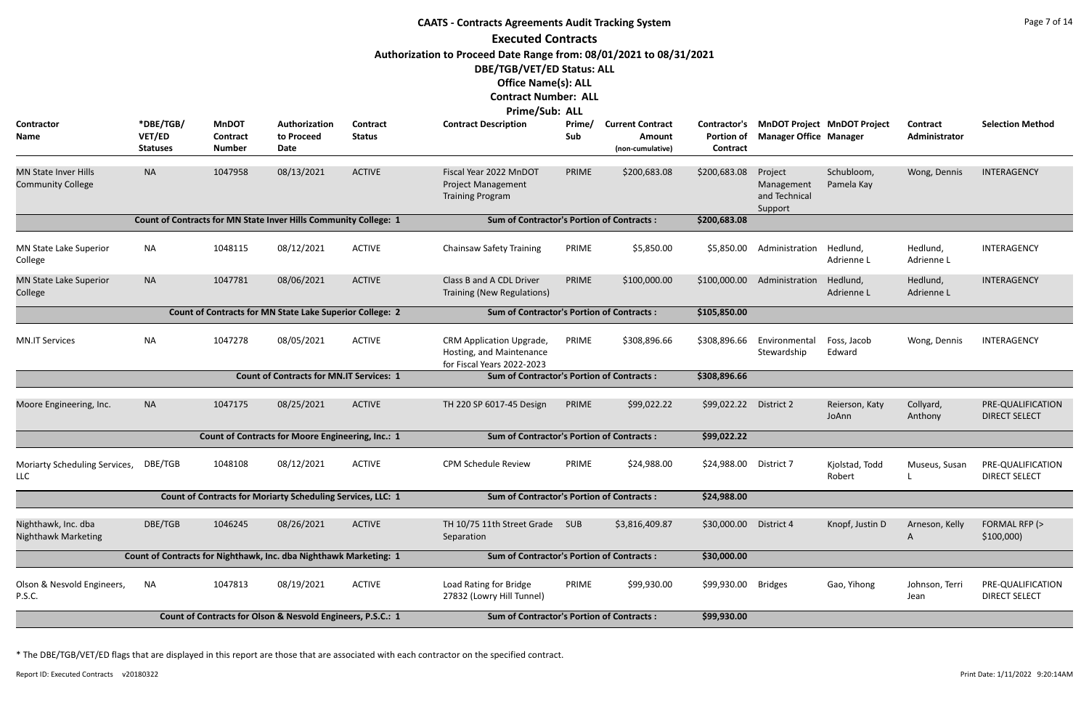|                                                         |                                        |                                                  |                                                                   |                           | <b>CAATS - Contracts Agreements Audit Tracking System</b>                                                                                                                       |               |                                                       |                                               |                                                                     |                          |                           | Page 7 of 14                              |
|---------------------------------------------------------|----------------------------------------|--------------------------------------------------|-------------------------------------------------------------------|---------------------------|---------------------------------------------------------------------------------------------------------------------------------------------------------------------------------|---------------|-------------------------------------------------------|-----------------------------------------------|---------------------------------------------------------------------|--------------------------|---------------------------|-------------------------------------------|
|                                                         |                                        |                                                  |                                                                   |                           | <b>Executed Contracts</b>                                                                                                                                                       |               |                                                       |                                               |                                                                     |                          |                           |                                           |
|                                                         |                                        |                                                  |                                                                   |                           | Authorization to Proceed Date Range from: 08/01/2021 to 08/31/2021<br>DBE/TGB/VET/ED Status: ALL<br><b>Office Name(s): ALL</b><br><b>Contract Number: ALL</b><br>Prime/Sub: ALL |               |                                                       |                                               |                                                                     |                          |                           |                                           |
| Contractor<br>Name                                      | *DBE/TGB/<br>VET/ED<br><b>Statuses</b> | <b>MnDOT</b><br><b>Contract</b><br><b>Number</b> | Authorization<br>to Proceed<br><b>Date</b>                        | Contract<br><b>Status</b> | <b>Contract Description</b>                                                                                                                                                     | Prime/<br>Sub | <b>Current Contract</b><br>Amount<br>(non-cumulative) | Contractor's<br><b>Portion of</b><br>Contract | <b>MnDOT Project MnDOT Project</b><br><b>Manager Office Manager</b> |                          | Contract<br>Administrator | <b>Selection Method</b>                   |
| <b>MN State Inver Hills</b><br><b>Community College</b> | <b>NA</b>                              | 1047958                                          | 08/13/2021                                                        | <b>ACTIVE</b>             | Fiscal Year 2022 MnDOT<br><b>Project Management</b><br><b>Training Program</b>                                                                                                  | PRIME         | \$200,683.08                                          | \$200,683.08                                  | Project<br>Management<br>and Technical<br>Support                   | Schubloom,<br>Pamela Kay | Wong, Dennis              | INTERAGENCY                               |
|                                                         |                                        |                                                  | Count of Contracts for MN State Inver Hills Community College: 1  |                           | <b>Sum of Contractor's Portion of Contracts:</b>                                                                                                                                |               |                                                       | \$200,683.08                                  |                                                                     |                          |                           |                                           |
| MN State Lake Superior<br>College                       | <b>NA</b>                              | 1048115                                          | 08/12/2021                                                        | <b>ACTIVE</b>             | <b>Chainsaw Safety Training</b>                                                                                                                                                 | PRIME         | \$5,850.00                                            | \$5,850.00                                    | Administration                                                      | Hedlund,<br>Adrienne L   | Hedlund,<br>Adrienne L    | INTERAGENCY                               |
| <b>MN State Lake Superior</b><br>College                | <b>NA</b>                              | 1047781                                          | 08/06/2021                                                        | <b>ACTIVE</b>             | Class B and A CDL Driver<br>Training (New Regulations)                                                                                                                          | PRIME         | \$100,000.00                                          | \$100,000.00                                  | Administration                                                      | Hedlund,<br>Adrienne L   | Hedlund,<br>Adrienne L    | INTERAGENCY                               |
|                                                         |                                        |                                                  | Count of Contracts for MN State Lake Superior College: 2          |                           | <b>Sum of Contractor's Portion of Contracts:</b>                                                                                                                                |               |                                                       | \$105,850.00                                  |                                                                     |                          |                           |                                           |
| <b>MN.IT Services</b>                                   | <b>NA</b>                              | 1047278                                          | 08/05/2021                                                        | <b>ACTIVE</b>             | CRM Application Upgrade,<br>Hosting, and Maintenance<br>for Fiscal Years 2022-2023                                                                                              | PRIME         | \$308,896.66                                          | \$308,896.66                                  | Environmental<br>Stewardship                                        | Foss, Jacob<br>Edward    | Wong, Dennis              | INTERAGENCY                               |
|                                                         |                                        |                                                  | <b>Count of Contracts for MN.IT Services: 1</b>                   |                           | <b>Sum of Contractor's Portion of Contracts:</b>                                                                                                                                |               |                                                       | \$308,896.66                                  |                                                                     |                          |                           |                                           |
| Moore Engineering, Inc.                                 | <b>NA</b>                              | 1047175                                          | 08/25/2021                                                        | <b>ACTIVE</b>             | TH 220 SP 6017-45 Design                                                                                                                                                        | PRIME         | \$99,022.22                                           | \$99,022.22                                   | District 2                                                          | Reierson, Katy<br>JoAnn  | Collyard,<br>Anthony      | PRE-QUALIFICATION<br><b>DIRECT SELECT</b> |
|                                                         |                                        |                                                  | Count of Contracts for Moore Engineering, Inc.: 1                 |                           | <b>Sum of Contractor's Portion of Contracts:</b>                                                                                                                                |               |                                                       | \$99,022.22                                   |                                                                     |                          |                           |                                           |
| Moriarty Scheduling Services,<br>LLC                    | DBE/TGB                                | 1048108                                          | 08/12/2021                                                        | <b>ACTIVE</b>             | <b>CPM Schedule Review</b>                                                                                                                                                      | PRIME         | \$24,988.00                                           | \$24,988.00                                   | District 7                                                          | Kjolstad, Todd<br>Robert | Museus, Susan             | PRE-QUALIFICATION<br><b>DIRECT SELECT</b> |
|                                                         |                                        |                                                  | Count of Contracts for Moriarty Scheduling Services, LLC: 1       |                           | <b>Sum of Contractor's Portion of Contracts:</b>                                                                                                                                |               |                                                       | \$24,988.00                                   |                                                                     |                          |                           |                                           |
| Nighthawk, Inc. dba<br><b>Nighthawk Marketing</b>       | DBE/TGB                                | 1046245                                          | 08/26/2021                                                        | <b>ACTIVE</b>             | TH 10/75 11th Street Grade<br>Separation                                                                                                                                        | <b>SUB</b>    | \$3,816,409.87                                        | \$30,000.00                                   | District 4                                                          | Knopf, Justin D          | Arneson, Kelly<br>A       | FORMAL RFP (><br>\$100,000                |
|                                                         |                                        |                                                  | Count of Contracts for Nighthawk, Inc. dba Nighthawk Marketing: 1 |                           | <b>Sum of Contractor's Portion of Contracts:</b>                                                                                                                                |               |                                                       | \$30,000.00                                   |                                                                     |                          |                           |                                           |
| Olson & Nesvold Engineers,<br>P.S.C.                    | <b>NA</b>                              | 1047813                                          | 08/19/2021                                                        | <b>ACTIVE</b>             | Load Rating for Bridge<br>27832 (Lowry Hill Tunnel)                                                                                                                             | PRIME         | \$99,930.00                                           | \$99,930.00                                   | <b>Bridges</b>                                                      | Gao, Yihong              | Johnson, Terri<br>Jean    | PRE-QUALIFICATION<br><b>DIRECT SELECT</b> |
|                                                         |                                        |                                                  | Count of Contracts for Olson & Nesvold Engineers, P.S.C.: 1       |                           | <b>Sum of Contractor's Portion of Contracts:</b>                                                                                                                                |               |                                                       | \$99,930.00                                   |                                                                     |                          |                           |                                           |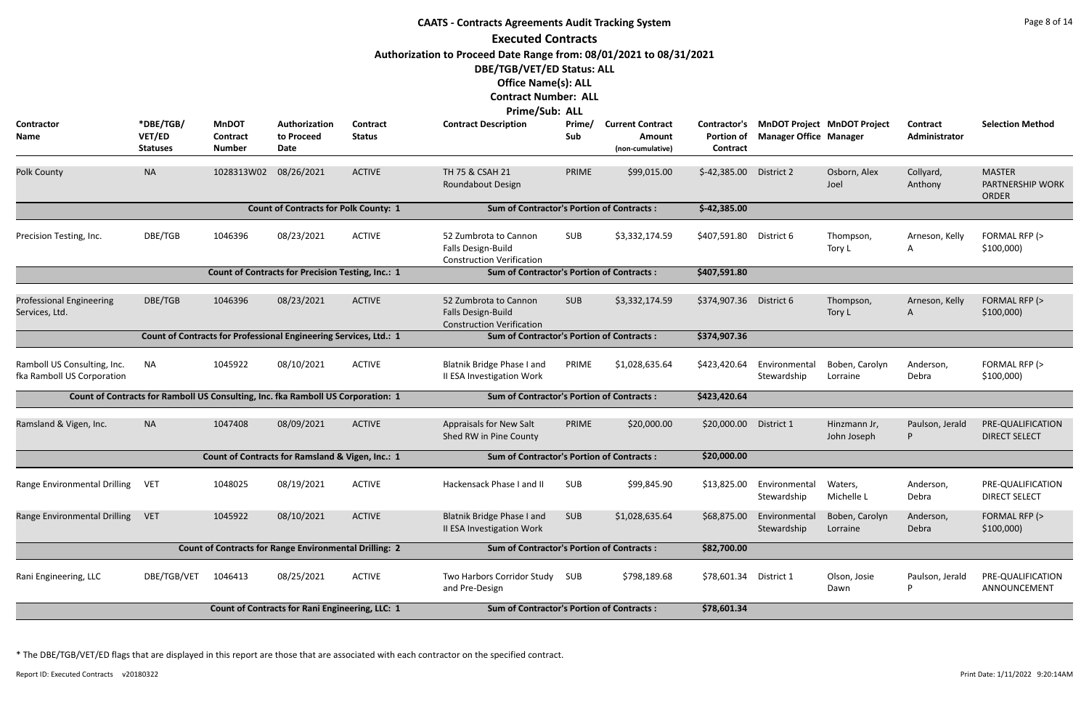|                                                           |                                        |                                           |                                                                                  |                                  | <b>CAATS - Contracts Agreements Audit Tracking System</b>                       |               |                                                       |                               |                               |                                          |                                  | Page 8 of 14                                      |
|-----------------------------------------------------------|----------------------------------------|-------------------------------------------|----------------------------------------------------------------------------------|----------------------------------|---------------------------------------------------------------------------------|---------------|-------------------------------------------------------|-------------------------------|-------------------------------|------------------------------------------|----------------------------------|---------------------------------------------------|
|                                                           |                                        |                                           |                                                                                  |                                  | <b>Executed Contracts</b>                                                       |               |                                                       |                               |                               |                                          |                                  |                                                   |
|                                                           |                                        |                                           |                                                                                  |                                  | Authorization to Proceed Date Range from: 08/01/2021 to 08/31/2021              |               |                                                       |                               |                               |                                          |                                  |                                                   |
|                                                           |                                        |                                           |                                                                                  |                                  | DBE/TGB/VET/ED Status: ALL                                                      |               |                                                       |                               |                               |                                          |                                  |                                                   |
|                                                           |                                        |                                           |                                                                                  |                                  | <b>Office Name(s): ALL</b>                                                      |               |                                                       |                               |                               |                                          |                                  |                                                   |
|                                                           |                                        |                                           |                                                                                  |                                  | <b>Contract Number: ALL</b>                                                     |               |                                                       |                               |                               |                                          |                                  |                                                   |
|                                                           |                                        |                                           |                                                                                  |                                  | <b>Prime/Sub: ALL</b>                                                           |               |                                                       |                               |                               |                                          |                                  |                                                   |
| Contractor<br><b>Name</b>                                 | *DBE/TGB/<br>VET/ED<br><b>Statuses</b> | <b>MnDOT</b><br>Contract<br><b>Number</b> | Authorization<br>to Proceed<br>Date                                              | <b>Contract</b><br><b>Status</b> | <b>Contract Description</b>                                                     | Prime/<br>Sub | <b>Current Contract</b><br>Amount<br>(non-cumulative) | <b>Portion of</b><br>Contract | <b>Manager Office Manager</b> | Contractor's MnDOT Project MnDOT Project | <b>Contract</b><br>Administrator | <b>Selection Method</b>                           |
| <b>Polk County</b>                                        | <b>NA</b>                              | 1028313W02                                | 08/26/2021                                                                       | <b>ACTIVE</b>                    | TH 75 & CSAH 21<br>Roundabout Design                                            | PRIME         | \$99,015.00                                           | $$-42,385.00$                 | District 2                    | Osborn, Alex<br>Joel                     | Collyard,<br>Anthony             | <b>MASTER</b><br>PARTNERSHIP WORK<br><b>ORDER</b> |
|                                                           |                                        |                                           | <b>Count of Contracts for Polk County: 1</b>                                     |                                  | <b>Sum of Contractor's Portion of Contracts:</b>                                |               |                                                       | $$-42,385.00$                 |                               |                                          |                                  |                                                   |
| Precision Testing, Inc.                                   | DBE/TGB                                | 1046396                                   | 08/23/2021                                                                       | <b>ACTIVE</b>                    | 52 Zumbrota to Cannon<br>Falls Design-Build<br><b>Construction Verification</b> | <b>SUB</b>    | \$3,332,174.59                                        | \$407,591.80 District 6       |                               | Thompson,<br>Tory L                      | Arneson, Kelly<br>A              | FORMAL RFP (><br>\$100,000                        |
|                                                           |                                        |                                           |                                                                                  |                                  |                                                                                 |               |                                                       |                               |                               |                                          |                                  |                                                   |
|                                                           |                                        |                                           |                                                                                  |                                  |                                                                                 |               |                                                       |                               |                               |                                          |                                  |                                                   |
| <b>Professional Engineering</b><br>Services, Ltd.         | DBE/TGB                                | 1046396                                   | 08/23/2021                                                                       | <b>ACTIVE</b>                    | 52 Zumbrota to Cannon<br>Falls Design-Build<br><b>Construction Verification</b> | <b>SUB</b>    | \$3,332,174.59                                        | \$374,907.36                  | District 6                    | Thompson,<br>Tory L                      | Arneson, Kelly<br>A              | FORMAL RFP (><br>\$100,000                        |
|                                                           |                                        |                                           | Count of Contracts for Professional Engineering Services, Ltd.: 1                |                                  | <b>Sum of Contractor's Portion of Contracts:</b>                                |               |                                                       | \$374,907.36                  |                               |                                          |                                  |                                                   |
| Ramboll US Consulting, Inc.<br>fka Ramboll US Corporation | NA                                     | 1045922                                   | 08/10/2021                                                                       | <b>ACTIVE</b>                    | Blatnik Bridge Phase I and<br>II ESA Investigation Work                         | PRIME         | \$1,028,635.64                                        | \$423,420.64                  | Environmental<br>Stewardship  | Boben, Carolyn<br>Lorraine               | Anderson,<br>Debra               | FORMAL RFP (><br>\$100,000                        |
|                                                           |                                        |                                           | Count of Contracts for Ramboll US Consulting, Inc. fka Ramboll US Corporation: 1 |                                  | <b>Sum of Contractor's Portion of Contracts:</b>                                |               |                                                       | \$423,420.64                  |                               |                                          |                                  |                                                   |
| Ramsland & Vigen, Inc.                                    | <b>NA</b>                              | 1047408                                   | 08/09/2021                                                                       | <b>ACTIVE</b>                    | Appraisals for New Salt<br>Shed RW in Pine County                               | PRIME         | \$20,000.00                                           | \$20,000.00                   | District 1                    | Hinzmann Jr,<br>John Joseph              | Paulson, Jerald                  | PRE-QUALIFICATION<br><b>DIRECT SELECT</b>         |
|                                                           |                                        |                                           | Count of Contracts for Ramsland & Vigen, Inc.: 1                                 |                                  | <b>Sum of Contractor's Portion of Contracts:</b>                                |               |                                                       | \$20,000.00                   |                               |                                          |                                  |                                                   |
| Range Environmental Drilling                              | <b>VET</b>                             | 1048025                                   | 08/19/2021                                                                       | <b>ACTIVE</b>                    | Hackensack Phase I and II                                                       | SUB           | \$99,845.90                                           | \$13,825.00                   | Environmental<br>Stewardship  | Waters,<br>Michelle L                    | Anderson,<br>Debra               | PRE-QUALIFICATION<br><b>DIRECT SELECT</b>         |
| Range Environmental Drilling                              | <b>VET</b>                             | 1045922                                   | 08/10/2021                                                                       | <b>ACTIVE</b>                    | Blatnik Bridge Phase I and<br>II ESA Investigation Work                         | <b>SUB</b>    | \$1,028,635.64                                        | \$68,875.00                   | Environmental<br>Stewardship  | Boben, Carolyn<br>Lorraine               | Anderson,<br>Debra               | FORMAL RFP (><br>\$100,000                        |
|                                                           |                                        |                                           | <b>Count of Contracts for Range Environmental Drilling: 2</b>                    |                                  | <b>Sum of Contractor's Portion of Contracts:</b>                                |               |                                                       | \$82,700.00                   |                               |                                          |                                  |                                                   |
| Rani Engineering, LLC                                     | DBE/TGB/VET                            | 1046413                                   | 08/25/2021                                                                       | <b>ACTIVE</b>                    | Two Harbors Corridor Study<br>and Pre-Design                                    | SUB           | \$798,189.68                                          | \$78,601.34                   | District 1                    | Olson, Josie<br>Dawn                     | Paulson, Jerald<br>P             | PRE-QUALIFICATION<br>ANNOUNCEMENT                 |
|                                                           |                                        |                                           | Count of Contracts for Rani Engineering, LLC: 1                                  |                                  | <b>Sum of Contractor's Portion of Contracts:</b>                                |               |                                                       | \$78,601.34                   |                               |                                          |                                  |                                                   |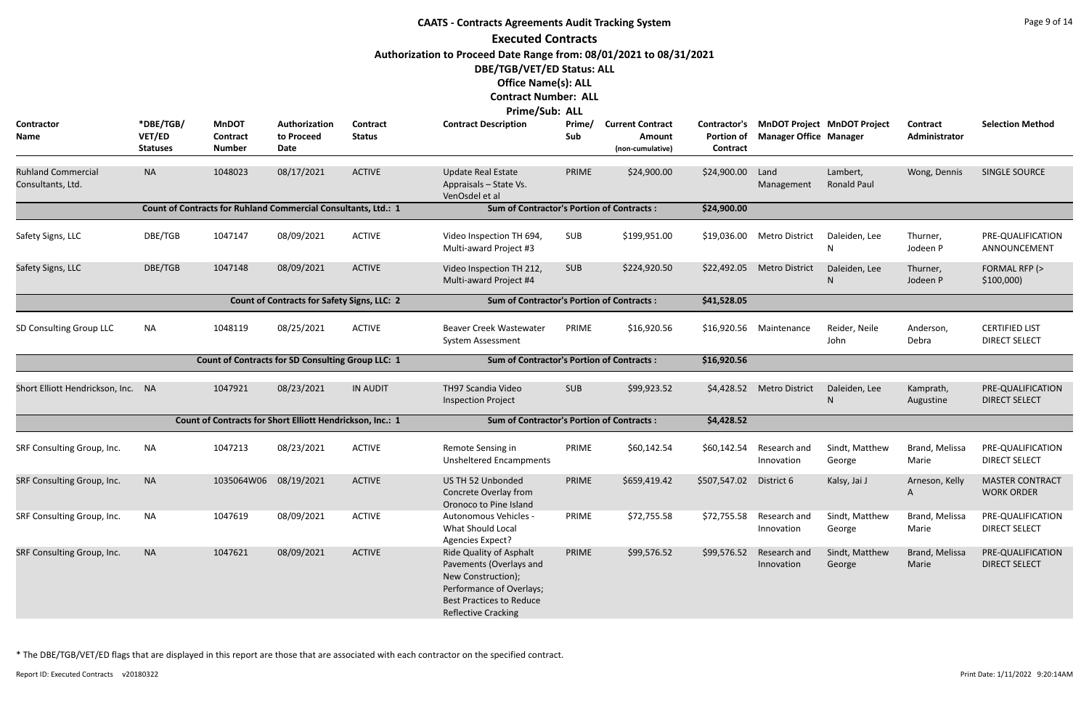|                                                | <b>CAATS - Contracts Agreements Audit Tracking System</b><br><b>Executed Contracts</b> |                                                                |                                                    |                                  |                                                                                                                                                                                 |               |                                                       |                                               |                               |                                    |                           |                                               |  |  |
|------------------------------------------------|----------------------------------------------------------------------------------------|----------------------------------------------------------------|----------------------------------------------------|----------------------------------|---------------------------------------------------------------------------------------------------------------------------------------------------------------------------------|---------------|-------------------------------------------------------|-----------------------------------------------|-------------------------------|------------------------------------|---------------------------|-----------------------------------------------|--|--|
|                                                |                                                                                        |                                                                |                                                    |                                  | Authorization to Proceed Date Range from: 08/01/2021 to 08/31/2021<br>DBE/TGB/VET/ED Status: ALL<br><b>Office Name(s): ALL</b><br><b>Contract Number: ALL</b><br>Prime/Sub: ALL |               |                                                       |                                               |                               |                                    |                           |                                               |  |  |
| <b>Contractor</b><br>Name                      | *DBE/TGB/<br>VET/ED<br><b>Statuses</b>                                                 | <b>MnDOT</b><br>Contract<br><b>Number</b>                      | Authorization<br>to Proceed<br>Date                | <b>Contract</b><br><b>Status</b> | <b>Contract Description</b>                                                                                                                                                     | Prime/<br>Sub | <b>Current Contract</b><br>Amount<br>(non-cumulative) | Contractor's<br><b>Portion of</b><br>Contract | <b>Manager Office Manager</b> | <b>MnDOT Project MnDOT Project</b> | Contract<br>Administrator | <b>Selection Method</b>                       |  |  |
| <b>Ruhland Commercial</b><br>Consultants, Ltd. | <b>NA</b>                                                                              | 1048023                                                        | 08/17/2021                                         | <b>ACTIVE</b>                    | <b>Update Real Estate</b><br>Appraisals - State Vs.<br>VenOsdel et al                                                                                                           | PRIME         | \$24,900.00                                           | \$24,900.00                                   | Land<br>Management            | Lambert,<br>Ronald Paul            | Wong, Dennis              | <b>SINGLE SOURCE</b>                          |  |  |
|                                                |                                                                                        | Count of Contracts for Ruhland Commercial Consultants, Ltd.: 1 |                                                    |                                  | <b>Sum of Contractor's Portion of Contracts:</b>                                                                                                                                |               |                                                       | \$24,900.00                                   |                               |                                    |                           |                                               |  |  |
| Safety Signs, LLC                              | DBE/TGB                                                                                | 1047147                                                        | 08/09/2021                                         | <b>ACTIVE</b>                    | Video Inspection TH 694,<br>Multi-award Project #3                                                                                                                              | <b>SUB</b>    | \$199,951.00                                          |                                               | \$19,036.00 Metro District    | Daleiden, Lee<br>N                 | Thurner,<br>Jodeen P      | PRE-QUALIFICATION<br>ANNOUNCEMENT             |  |  |
| Safety Signs, LLC                              | DBE/TGB                                                                                | 1047148                                                        | 08/09/2021                                         | <b>ACTIVE</b>                    | Video Inspection TH 212,<br>Multi-award Project #4                                                                                                                              | <b>SUB</b>    | \$224,920.50                                          | \$22,492.05                                   | <b>Metro District</b>         | Daleiden, Lee<br>N                 | Thurner,<br>Jodeen P      | FORMAL RFP (><br>\$100,000                    |  |  |
|                                                |                                                                                        |                                                                | <b>Count of Contracts for Safety Signs, LLC: 2</b> |                                  | <b>Sum of Contractor's Portion of Contracts:</b>                                                                                                                                |               |                                                       | \$41,528.05                                   |                               |                                    |                           |                                               |  |  |
| SD Consulting Group LLC                        | <b>NA</b>                                                                              | 1048119                                                        | 08/25/2021                                         | <b>ACTIVE</b>                    | <b>Beaver Creek Wastewater</b><br>System Assessment                                                                                                                             | PRIME         | \$16,920.56                                           | \$16,920.56                                   | Maintenance                   | Reider, Neile<br>John              | Anderson,<br>Debra        | <b>CERTIFIED LIST</b><br><b>DIRECT SELECT</b> |  |  |
|                                                |                                                                                        | <b>Count of Contracts for SD Consulting Group LLC: 1</b>       |                                                    |                                  | <b>Sum of Contractor's Portion of Contracts:</b>                                                                                                                                |               |                                                       | \$16,920.56                                   |                               |                                    |                           |                                               |  |  |
| Short Elliott Hendrickson, Inc. NA             |                                                                                        | 1047921                                                        | 08/23/2021                                         | <b>IN AUDIT</b>                  | TH97 Scandia Video<br><b>Inspection Project</b>                                                                                                                                 | <b>SUB</b>    | \$99,923.52                                           | \$4,428.52                                    | <b>Metro District</b>         | Daleiden, Lee<br><sup>N</sup>      | Kamprath,<br>Augustine    | PRE-QUALIFICATION<br><b>DIRECT SELECT</b>     |  |  |
|                                                |                                                                                        | Count of Contracts for Short Elliott Hendrickson, Inc.: 1      |                                                    |                                  | <b>Sum of Contractor's Portion of Contracts:</b>                                                                                                                                |               |                                                       | \$4,428.52                                    |                               |                                    |                           |                                               |  |  |
| SRF Consulting Group, Inc.                     | NA                                                                                     | 1047213                                                        | 08/23/2021                                         | <b>ACTIVE</b>                    | Remote Sensing in<br><b>Unsheltered Encampments</b>                                                                                                                             | PRIME         | \$60,142.54                                           | \$60,142.54                                   | Research and<br>Innovation    | Sindt, Matthew<br>George           | Brand, Melissa<br>Marie   | PRE-QUALIFICATION<br><b>DIRECT SELECT</b>     |  |  |
| SRF Consulting Group, Inc.                     | <b>NA</b>                                                                              | 1035064W06 08/19/2021                                          |                                                    | <b>ACTIVE</b>                    | US TH 52 Unbonded<br>Concrete Overlay from<br>Oronoco to Pine Island                                                                                                            | PRIME         | \$659,419.42                                          | \$507,547.02                                  | District 6                    | Kalsy, Jai J                       | Arneson, Kelly<br>A       | <b>MASTER CONTRACT</b><br><b>WORK ORDER</b>   |  |  |
| SRF Consulting Group, Inc.                     | <b>NA</b>                                                                              | 1047619                                                        | 08/09/2021                                         | <b>ACTIVE</b>                    | Autonomous Vehicles -<br>What Should Local<br>Agencies Expect?                                                                                                                  | PRIME         | \$72,755.58                                           | \$72,755.58                                   | Research and<br>Innovation    | Sindt, Matthew<br>George           | Brand, Melissa<br>Marie   | PRE-QUALIFICATION<br><b>DIRECT SELECT</b>     |  |  |
| SRF Consulting Group, Inc.                     | <b>NA</b>                                                                              | 1047621                                                        | 08/09/2021                                         | <b>ACTIVE</b>                    | Ride Quality of Asphalt<br>Pavements (Overlays and<br>New Construction);<br>Performance of Overlays;<br><b>Best Practices to Reduce</b><br><b>Reflective Cracking</b>           | PRIME         | \$99,576.52                                           | \$99,576.52                                   | Research and<br>Innovation    | Sindt, Matthew<br>George           | Brand, Melissa<br>Marie   | PRE-QUALIFICATION<br><b>DIRECT SELECT</b>     |  |  |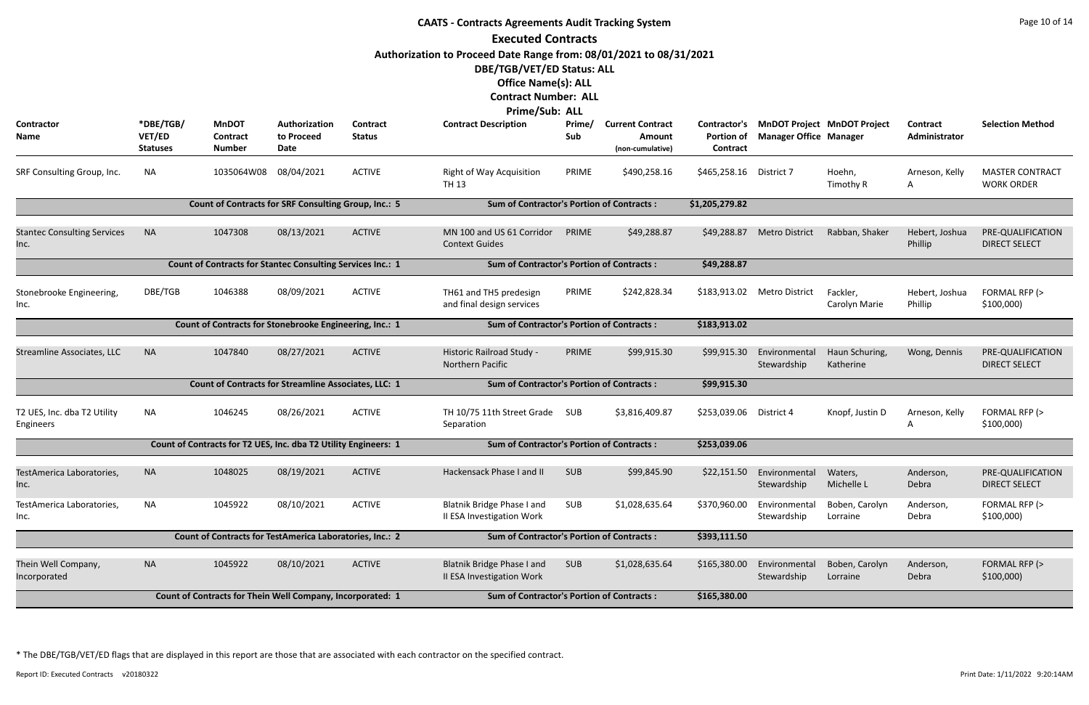|                                            |                                        |                                                                   |                                     |                           | <b>CAATS - Contracts Agreements Audit Tracking System</b>          |                                                  |                                                       |                               |                               |                                          |                           | Page 10 of 14                               |
|--------------------------------------------|----------------------------------------|-------------------------------------------------------------------|-------------------------------------|---------------------------|--------------------------------------------------------------------|--------------------------------------------------|-------------------------------------------------------|-------------------------------|-------------------------------|------------------------------------------|---------------------------|---------------------------------------------|
|                                            |                                        |                                                                   |                                     |                           | <b>Executed Contracts</b>                                          |                                                  |                                                       |                               |                               |                                          |                           |                                             |
|                                            |                                        |                                                                   |                                     |                           | Authorization to Proceed Date Range from: 08/01/2021 to 08/31/2021 |                                                  |                                                       |                               |                               |                                          |                           |                                             |
|                                            |                                        |                                                                   |                                     |                           | DBE/TGB/VET/ED Status: ALL                                         |                                                  |                                                       |                               |                               |                                          |                           |                                             |
|                                            |                                        |                                                                   |                                     |                           | <b>Office Name(s): ALL</b>                                         |                                                  |                                                       |                               |                               |                                          |                           |                                             |
|                                            |                                        |                                                                   |                                     |                           | <b>Contract Number: ALL</b>                                        |                                                  |                                                       |                               |                               |                                          |                           |                                             |
|                                            |                                        |                                                                   |                                     |                           | Prime/Sub: ALL                                                     |                                                  |                                                       |                               |                               |                                          |                           |                                             |
| <b>Contractor</b><br>Name                  | *DBE/TGB/<br>VET/ED<br><b>Statuses</b> | <b>MnDOT</b><br>Contract<br><b>Number</b>                         | Authorization<br>to Proceed<br>Date | Contract<br><b>Status</b> | <b>Contract Description</b>                                        | Prime/<br>Sub                                    | <b>Current Contract</b><br>Amount<br>(non-cumulative) | <b>Portion of</b><br>Contract | <b>Manager Office Manager</b> | Contractor's MnDOT Project MnDOT Project | Contract<br>Administrator | <b>Selection Method</b>                     |
| SRF Consulting Group, Inc.                 | <b>NA</b>                              | 1035064W08 08/04/2021                                             |                                     | <b>ACTIVE</b>             | <b>Right of Way Acquisition</b><br><b>TH 13</b>                    | PRIME                                            | \$490,258.16                                          | \$465,258.16 District 7       |                               | Hoehn,<br>Timothy R                      | Arneson, Kelly<br>A       | <b>MASTER CONTRACT</b><br><b>WORK ORDER</b> |
|                                            |                                        | Count of Contracts for SRF Consulting Group, Inc.: 5              |                                     |                           | <b>Sum of Contractor's Portion of Contracts:</b>                   |                                                  |                                                       | \$1,205,279.82                |                               |                                          |                           |                                             |
| <b>Stantec Consulting Services</b><br>Inc. | <b>NA</b>                              | 1047308                                                           | 08/13/2021                          | <b>ACTIVE</b>             | MN 100 and US 61 Corridor<br><b>Context Guides</b>                 | PRIME                                            | \$49,288.87                                           | \$49,288.87                   | <b>Metro District</b>         | Rabban, Shaker                           | Hebert, Joshua<br>Phillip | PRE-QUALIFICATION<br><b>DIRECT SELECT</b>   |
|                                            |                                        | <b>Count of Contracts for Stantec Consulting Services Inc.: 1</b> |                                     |                           |                                                                    | <b>Sum of Contractor's Portion of Contracts:</b> | \$49,288.87                                           |                               |                               |                                          |                           |                                             |
| Stonebrooke Engineering,<br>Inc.           | DBE/TGB                                | 1046388                                                           | 08/09/2021                          | <b>ACTIVE</b>             | TH61 and TH5 predesign<br>and final design services                | PRIME                                            | \$242,828.34                                          | \$183,913.02                  | Metro District                | Fackler,<br>Carolyn Marie                | Hebert, Joshua<br>Phillip | FORMAL RFP (><br>\$100,000                  |
|                                            |                                        | Count of Contracts for Stonebrooke Engineering, Inc.: 1           |                                     |                           | <b>Sum of Contractor's Portion of Contracts:</b>                   |                                                  |                                                       | \$183,913.02                  |                               |                                          |                           |                                             |
| <b>Streamline Associates, LLC</b>          | <b>NA</b>                              | 1047840                                                           | 08/27/2021                          | <b>ACTIVE</b>             | Historic Railroad Study -<br>Northern Pacific                      | PRIME                                            | \$99,915.30                                           | \$99,915.30                   | Environmental<br>Stewardship  | Haun Schuring,<br>Katherine              | Wong, Dennis              | PRE-QUALIFICATION<br><b>DIRECT SELECT</b>   |
|                                            |                                        | <b>Count of Contracts for Streamline Associates, LLC: 1</b>       |                                     |                           | <b>Sum of Contractor's Portion of Contracts:</b>                   |                                                  |                                                       | \$99,915.30                   |                               |                                          |                           |                                             |
| T2 UES, Inc. dba T2 Utility<br>Engineers   | NA.                                    | 1046245                                                           | 08/26/2021                          | <b>ACTIVE</b>             | TH 10/75 11th Street Grade SUB<br>Separation                       |                                                  | \$3,816,409.87                                        | \$253,039.06 District 4       |                               | Knopf, Justin D                          | Arneson, Kelly<br>A       | FORMAL RFP (><br>\$100,000                  |
|                                            |                                        | Count of Contracts for T2 UES, Inc. dba T2 Utility Engineers: 1   |                                     |                           | <b>Sum of Contractor's Portion of Contracts:</b>                   |                                                  |                                                       | \$253,039.06                  |                               |                                          |                           |                                             |
| TestAmerica Laboratories,<br>Inc.          | <b>NA</b>                              | 1048025                                                           | 08/19/2021                          | <b>ACTIVE</b>             | Hackensack Phase I and II                                          | <b>SUB</b>                                       | \$99,845.90                                           | \$22,151.50                   | Environmental<br>Stewardship  | Waters,<br>Michelle L                    | Anderson,<br>Debra        | PRE-QUALIFICATION<br><b>DIRECT SELECT</b>   |
| TestAmerica Laboratories,<br>Inc.          | NA                                     | 1045922                                                           | 08/10/2021                          | <b>ACTIVE</b>             | <b>Blatnik Bridge Phase I and</b><br>II ESA Investigation Work     | <b>SUB</b>                                       | \$1,028,635.64                                        | \$370,960.00                  | Environmental<br>Stewardship  | Boben, Carolyn<br>Lorraine               | Anderson,<br>Debra        | FORMAL RFP (><br>\$100,000                  |
|                                            |                                        | Count of Contracts for TestAmerica Laboratories, Inc.: 2          |                                     |                           | <b>Sum of Contractor's Portion of Contracts:</b>                   |                                                  |                                                       | \$393,111.50                  |                               |                                          |                           |                                             |
| Thein Well Company,<br>Incorporated        | <b>NA</b>                              | 1045922                                                           | 08/10/2021                          | <b>ACTIVE</b>             | Blatnik Bridge Phase I and<br>II ESA Investigation Work            | <b>SUB</b>                                       | \$1,028,635.64                                        | \$165,380.00                  | Environmental<br>Stewardship  | Boben, Carolyn<br>Lorraine               | Anderson,<br>Debra        | FORMAL RFP (><br>\$100,000                  |
|                                            |                                        | Count of Contracts for Thein Well Company, Incorporated: 1        |                                     |                           | <b>Sum of Contractor's Portion of Contracts:</b>                   |                                                  |                                                       | \$165,380.00                  |                               |                                          |                           |                                             |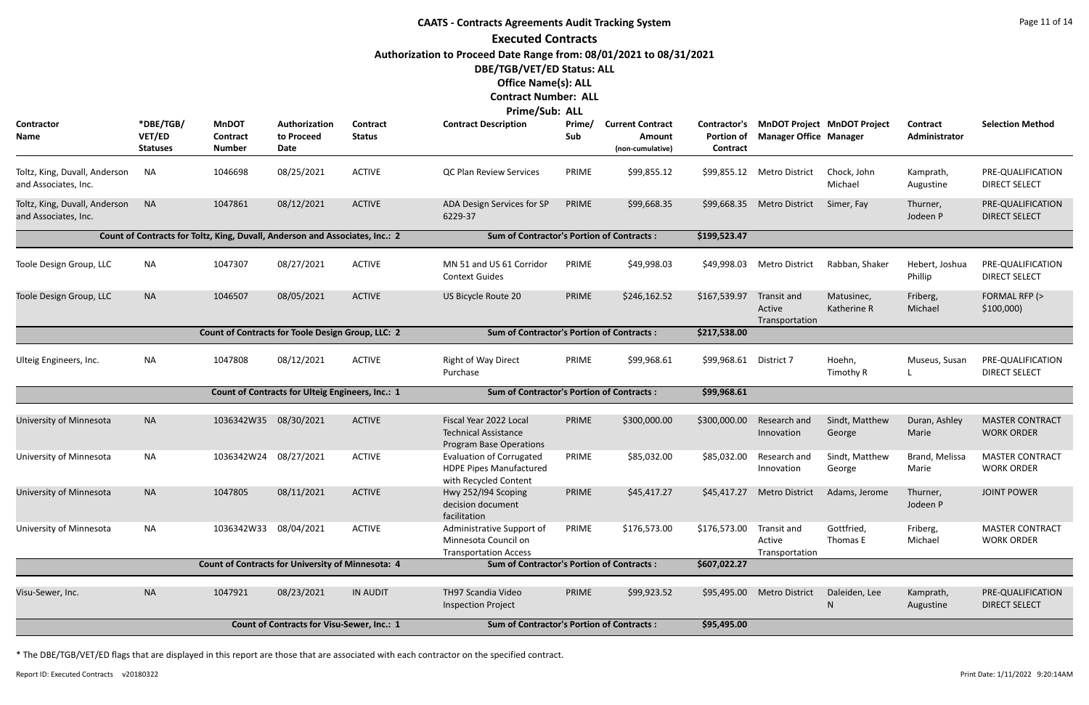# **CAATS - Contracts Agreements Audit Tracking System Executed Contracts Authorization to Proceed Date Range from: 08/01/2021 to 08/31/2021 DBE/TGB/VET/ED Status: ALL Office Name(s): ALL**

#### **Contract Number: ALL Prime/Sub: ALL**

|                                                       |                                        |                                                                              |                                                   |                           | Prime/Sub: ALL                                                                             |               |                                                       |                                               |                                         |                                    |                                  |                                             |
|-------------------------------------------------------|----------------------------------------|------------------------------------------------------------------------------|---------------------------------------------------|---------------------------|--------------------------------------------------------------------------------------------|---------------|-------------------------------------------------------|-----------------------------------------------|-----------------------------------------|------------------------------------|----------------------------------|---------------------------------------------|
| Contractor<br>Name                                    | *DBE/TGB/<br>VET/ED<br><b>Statuses</b> | <b>MnDOT</b><br>Contract<br><b>Number</b>                                    | Authorization<br>to Proceed<br>Date               | Contract<br><b>Status</b> | <b>Contract Description</b>                                                                | Prime/<br>Sub | <b>Current Contract</b><br>Amount<br>(non-cumulative) | Contractor's<br><b>Portion of</b><br>Contract | <b>Manager Office Manager</b>           | <b>MnDOT Project MnDOT Project</b> | <b>Contract</b><br>Administrator | <b>Selection Method</b>                     |
| Toltz, King, Duvall, Anderson<br>and Associates, Inc. | NA.                                    | 1046698                                                                      | 08/25/2021                                        | <b>ACTIVE</b>             | <b>QC Plan Review Services</b>                                                             | PRIME         | \$99,855.12                                           | \$99,855.12                                   | <b>Metro District</b>                   | Chock, John<br>Michael             | Kamprath,<br>Augustine           | PRE-QUALIFICATION<br><b>DIRECT SELECT</b>   |
| Toltz, King, Duvall, Anderson<br>and Associates, Inc. | <b>NA</b>                              | 1047861                                                                      | 08/12/2021                                        | <b>ACTIVE</b>             | ADA Design Services for SP<br>6229-37                                                      | PRIME         | \$99,668.35                                           | \$99,668.35                                   | Metro District                          | Simer, Fay                         | Thurner,<br>Jodeen P             | PRE-QUALIFICATION<br><b>DIRECT SELECT</b>   |
|                                                       |                                        | Count of Contracts for Toltz, King, Duvall, Anderson and Associates, Inc.: 2 |                                                   |                           | <b>Sum of Contractor's Portion of Contracts:</b>                                           |               |                                                       | \$199,523.47                                  |                                         |                                    |                                  |                                             |
| Toole Design Group, LLC                               | <b>NA</b>                              | 1047307                                                                      | 08/27/2021                                        | <b>ACTIVE</b>             | MN 51 and US 61 Corridor<br><b>Context Guides</b>                                          | PRIME         | \$49,998.03                                           | \$49,998.03                                   | <b>Metro District</b>                   | Rabban, Shaker                     | Hebert, Joshua<br>Phillip        | PRE-QUALIFICATION<br><b>DIRECT SELECT</b>   |
| Toole Design Group, LLC                               | <b>NA</b>                              | 1046507                                                                      | 08/05/2021                                        | <b>ACTIVE</b>             | US Bicycle Route 20                                                                        | PRIME         | \$246,162.52                                          | \$167,539.97                                  | Transit and<br>Active<br>Transportation | Matusinec,<br>Katherine R          | Friberg,<br>Michael              | FORMAL RFP (><br>\$100,000                  |
|                                                       |                                        | Count of Contracts for Toole Design Group, LLC: 2                            |                                                   |                           | <b>Sum of Contractor's Portion of Contracts:</b>                                           |               |                                                       | \$217,538.00                                  |                                         |                                    |                                  |                                             |
| Ulteig Engineers, Inc.                                | <b>NA</b>                              | 1047808                                                                      | 08/12/2021                                        | <b>ACTIVE</b>             | <b>Right of Way Direct</b><br>Purchase                                                     | PRIME         | \$99,968.61                                           | \$99,968.61 District 7                        |                                         | Hoehn,<br>Timothy R                | Museus, Susan                    | PRE-QUALIFICATION<br><b>DIRECT SELECT</b>   |
|                                                       |                                        |                                                                              | Count of Contracts for Ulteig Engineers, Inc.: 1  |                           | <b>Sum of Contractor's Portion of Contracts:</b>                                           |               |                                                       | \$99,968.61                                   |                                         |                                    |                                  |                                             |
| University of Minnesota                               | <b>NA</b>                              | 1036342W35                                                                   | 08/30/2021                                        | <b>ACTIVE</b>             | Fiscal Year 2022 Local<br><b>Technical Assistance</b><br><b>Program Base Operations</b>    | PRIME         | \$300,000.00                                          | \$300,000.00                                  | Research and<br>Innovation              | Sindt, Matthew<br>George           | Duran, Ashley<br>Marie           | <b>MASTER CONTRACT</b><br><b>WORK ORDER</b> |
| University of Minnesota                               | <b>NA</b>                              | 1036342W24                                                                   | 08/27/2021                                        | <b>ACTIVE</b>             | <b>Evaluation of Corrugated</b><br><b>HDPE Pipes Manufactured</b><br>with Recycled Content | PRIME         | \$85,032.00                                           | \$85,032.00                                   | Research and<br>Innovation              | Sindt, Matthew<br>George           | Brand, Melissa<br>Marie          | <b>MASTER CONTRACT</b><br><b>WORK ORDER</b> |
| University of Minnesota                               | <b>NA</b>                              | 1047805                                                                      | 08/11/2021                                        | <b>ACTIVE</b>             | Hwy 252/194 Scoping<br>decision document<br>facilitation                                   | PRIME         | \$45,417.27                                           | \$45,417.27                                   | <b>Metro District</b>                   | Adams, Jerome                      | Thurner,<br>Jodeen P             | <b>JOINT POWER</b>                          |
| University of Minnesota                               | <b>NA</b>                              | 1036342W33 08/04/2021                                                        |                                                   | <b>ACTIVE</b>             | Administrative Support of<br>Minnesota Council on<br><b>Transportation Access</b>          | PRIME         | \$176,573.00                                          | \$176,573.00                                  | Transit and<br>Active<br>Transportation | Gottfried,<br>Thomas E             | Friberg,<br>Michael              | <b>MASTER CONTRACT</b><br><b>WORK ORDER</b> |
|                                                       |                                        | <b>Count of Contracts for University of Minnesota: 4</b>                     |                                                   |                           | <b>Sum of Contractor's Portion of Contracts:</b>                                           |               |                                                       | \$607,022.27                                  |                                         |                                    |                                  |                                             |
| Visu-Sewer, Inc.                                      | <b>NA</b>                              | 1047921                                                                      | 08/23/2021                                        | <b>IN AUDIT</b>           | TH97 Scandia Video<br><b>Inspection Project</b>                                            | PRIME         | \$99,923.52                                           | \$95,495.00                                   | <b>Metro District</b>                   | Daleiden, Lee<br>N                 | Kamprath,<br>Augustine           | PRE-QUALIFICATION<br><b>DIRECT SELECT</b>   |
|                                                       |                                        |                                                                              | <b>Count of Contracts for Visu-Sewer, Inc.: 1</b> |                           | <b>Sum of Contractor's Portion of Contracts:</b>                                           |               |                                                       | \$95,495.00                                   |                                         |                                    |                                  |                                             |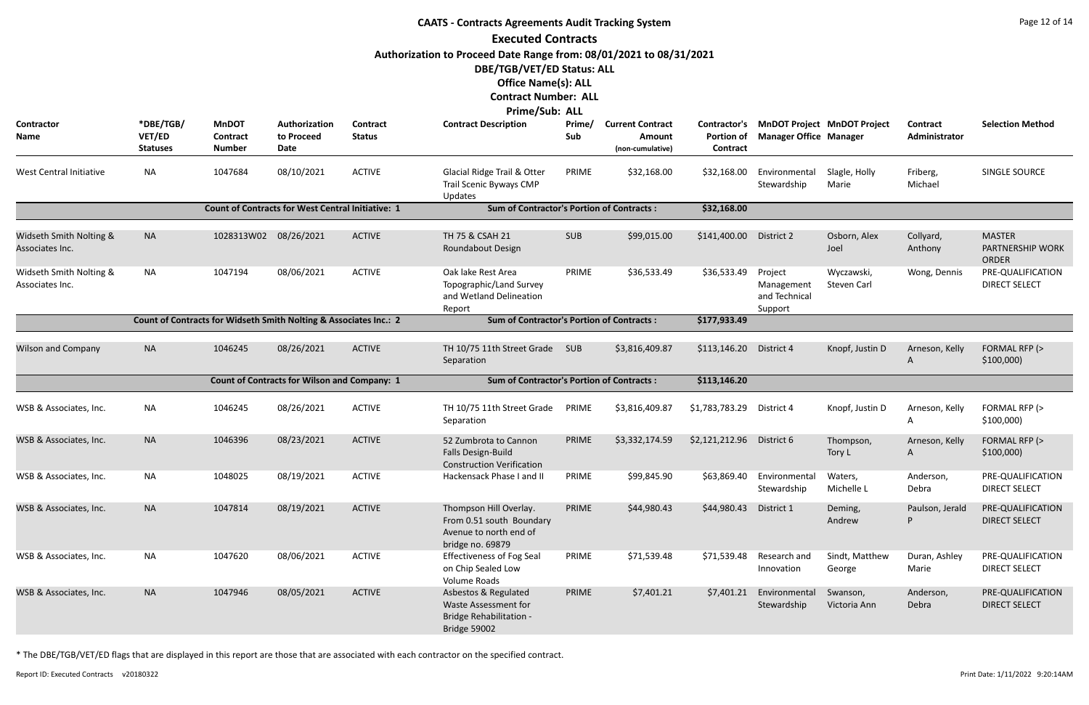|                                            |                                        |                                                                   |                                                          |                                  | <b>CAATS - Contracts Agreements Audit Tracking System</b>                                        |               |                                                              |                                                      |                                                   |                                    |                                  | Page 12 of 14                                     |
|--------------------------------------------|----------------------------------------|-------------------------------------------------------------------|----------------------------------------------------------|----------------------------------|--------------------------------------------------------------------------------------------------|---------------|--------------------------------------------------------------|------------------------------------------------------|---------------------------------------------------|------------------------------------|----------------------------------|---------------------------------------------------|
|                                            |                                        |                                                                   |                                                          |                                  | <b>Executed Contracts</b>                                                                        |               |                                                              |                                                      |                                                   |                                    |                                  |                                                   |
|                                            |                                        |                                                                   |                                                          |                                  | Authorization to Proceed Date Range from: 08/01/2021 to 08/31/2021                               |               |                                                              |                                                      |                                                   |                                    |                                  |                                                   |
|                                            |                                        |                                                                   |                                                          |                                  | DBE/TGB/VET/ED Status: ALL                                                                       |               |                                                              |                                                      |                                                   |                                    |                                  |                                                   |
|                                            |                                        |                                                                   |                                                          |                                  | <b>Office Name(s): ALL</b>                                                                       |               |                                                              |                                                      |                                                   |                                    |                                  |                                                   |
|                                            |                                        |                                                                   |                                                          |                                  | <b>Contract Number: ALL</b>                                                                      |               |                                                              |                                                      |                                                   |                                    |                                  |                                                   |
|                                            |                                        |                                                                   |                                                          |                                  | Prime/Sub: ALL                                                                                   |               |                                                              |                                                      |                                                   |                                    |                                  |                                                   |
| Contractor<br>Name                         | *DBE/TGB/<br>VET/ED<br><b>Statuses</b> | <b>MnDOT</b><br>Contract<br><b>Number</b>                         | Authorization<br>to Proceed<br>Date                      | <b>Contract</b><br><b>Status</b> | <b>Contract Description</b>                                                                      | Prime/<br>Sub | <b>Current Contract</b><br><b>Amount</b><br>(non-cumulative) | <b>Contractor's</b><br><b>Portion of</b><br>Contract | <b>Manager Office Manager</b>                     | <b>MnDOT Project MnDOT Project</b> | <b>Contract</b><br>Administrator | <b>Selection Method</b>                           |
| West Central Initiative                    | <b>NA</b>                              | 1047684                                                           | 08/10/2021                                               | <b>ACTIVE</b>                    | Glacial Ridge Trail & Otter<br>Trail Scenic Byways CMP<br>Updates                                | PRIME         | \$32,168.00                                                  | \$32,168.00                                          | Environmental<br>Stewardship                      | Slagle, Holly<br>Marie             | Friberg,<br>Michael              | SINGLE SOURCE                                     |
|                                            |                                        |                                                                   | <b>Count of Contracts for West Central Initiative: 1</b> |                                  | <b>Sum of Contractor's Portion of Contracts:</b>                                                 |               |                                                              | \$32,168.00                                          |                                                   |                                    |                                  |                                                   |
| Widseth Smith Nolting &<br>Associates Inc. | <b>NA</b>                              | 1028313W02                                                        | 08/26/2021                                               | <b>ACTIVE</b>                    | TH 75 & CSAH 21<br>Roundabout Design                                                             | <b>SUB</b>    | \$99,015.00                                                  | \$141,400.00                                         | District 2                                        | Osborn, Alex<br>Joel               | Collyard,<br>Anthony             | <b>MASTER</b><br>PARTNERSHIP WORK<br><b>ORDER</b> |
| Widseth Smith Nolting &<br>Associates Inc. | ΝA                                     | 1047194                                                           | 08/06/2021                                               | <b>ACTIVE</b>                    | Oak lake Rest Area<br>Topographic/Land Survey<br>and Wetland Delineation<br>Report               | PRIME         | \$36,533.49                                                  | \$36,533.49                                          | Project<br>Management<br>and Technical<br>Support | Wyczawski,<br>Steven Carl          | Wong, Dennis                     | PRE-QUALIFICATION<br><b>DIRECT SELECT</b>         |
|                                            |                                        | Count of Contracts for Widseth Smith Nolting & Associates Inc.: 2 |                                                          |                                  | <b>Sum of Contractor's Portion of Contracts:</b>                                                 |               |                                                              | \$177,933.49                                         |                                                   |                                    |                                  |                                                   |
|                                            |                                        |                                                                   |                                                          |                                  |                                                                                                  |               |                                                              |                                                      |                                                   |                                    |                                  |                                                   |
| <b>Wilson and Company</b>                  | <b>NA</b>                              | 1046245                                                           | 08/26/2021                                               | <b>ACTIVE</b>                    | TH 10/75 11th Street Grade<br>Separation                                                         | SUB           | \$3,816,409.87                                               | \$113,146.20                                         | District 4                                        | Knopf, Justin D                    | Arneson, Kelly<br>A              | FORMAL RFP (><br>\$100,000                        |
|                                            |                                        |                                                                   | <b>Count of Contracts for Wilson and Company: 1</b>      |                                  | <b>Sum of Contractor's Portion of Contracts:</b>                                                 |               |                                                              | \$113,146.20                                         |                                                   |                                    |                                  |                                                   |
| WSB & Associates, Inc.                     | <b>NA</b>                              | 1046245                                                           | 08/26/2021                                               | <b>ACTIVE</b>                    | TH 10/75 11th Street Grade<br>Separation                                                         | PRIME         | \$3,816,409.87                                               | \$1,783,783.29                                       | District 4                                        | Knopf, Justin D                    | Arneson, Kelly<br>A              | FORMAL RFP (><br>\$100,000                        |
| WSB & Associates, Inc.                     | <b>NA</b>                              | 1046396                                                           | 08/23/2021                                               | <b>ACTIVE</b>                    | 52 Zumbrota to Cannon<br>Falls Design-Build<br><b>Construction Verification</b>                  | PRIME         | \$3,332,174.59                                               | \$2,121,212.96                                       | District 6                                        | Thompson,<br>Tory L                | Arneson, Kelly<br>A              | FORMAL RFP (><br>\$100,000                        |
| WSB & Associates, Inc.                     | <b>NA</b>                              | 1048025                                                           | 08/19/2021                                               | <b>ACTIVE</b>                    | Hackensack Phase I and II                                                                        | PRIME         | \$99,845.90                                                  | \$63,869.40                                          | Environmental<br>Stewardship                      | Waters,<br>Michelle L              | Anderson,<br>Debra               | PRE-QUALIFICATION<br><b>DIRECT SELECT</b>         |
| WSB & Associates, Inc.                     | <b>NA</b>                              | 1047814                                                           | 08/19/2021                                               | <b>ACTIVE</b>                    | Thompson Hill Overlay.<br>From 0.51 south Boundary<br>Avenue to north end of<br>bridge no. 69879 | PRIME         | \$44,980.43                                                  | \$44,980.43                                          | District 1                                        | Deming,<br>Andrew                  | Paulson, Jerald                  | PRE-QUALIFICATION<br><b>DIRECT SELECT</b>         |
| WSB & Associates, Inc.                     | <b>NA</b>                              | 1047620                                                           | 08/06/2021                                               | <b>ACTIVE</b>                    | <b>Effectiveness of Fog Seal</b><br>on Chip Sealed Low<br>Volume Roads                           | PRIME         | \$71,539.48                                                  | \$71,539.48                                          | Research and<br>Innovation                        | Sindt, Matthew<br>George           | Duran, Ashley<br>Marie           | PRE-QUALIFICATION<br><b>DIRECT SELECT</b>         |
| WSB & Associates, Inc.                     | <b>NA</b>                              | 1047946                                                           | 08/05/2021                                               | <b>ACTIVE</b>                    | Asbestos & Regulated<br>Waste Assessment for<br><b>Bridge Rehabilitation -</b><br>Bridge 59002   | PRIME         | \$7,401.21                                                   | \$7,401.21                                           | Environmental<br>Stewardship                      | Swanson,<br>Victoria Ann           | Anderson,<br>Debra               | PRE-QUALIFICATION<br><b>DIRECT SELECT</b>         |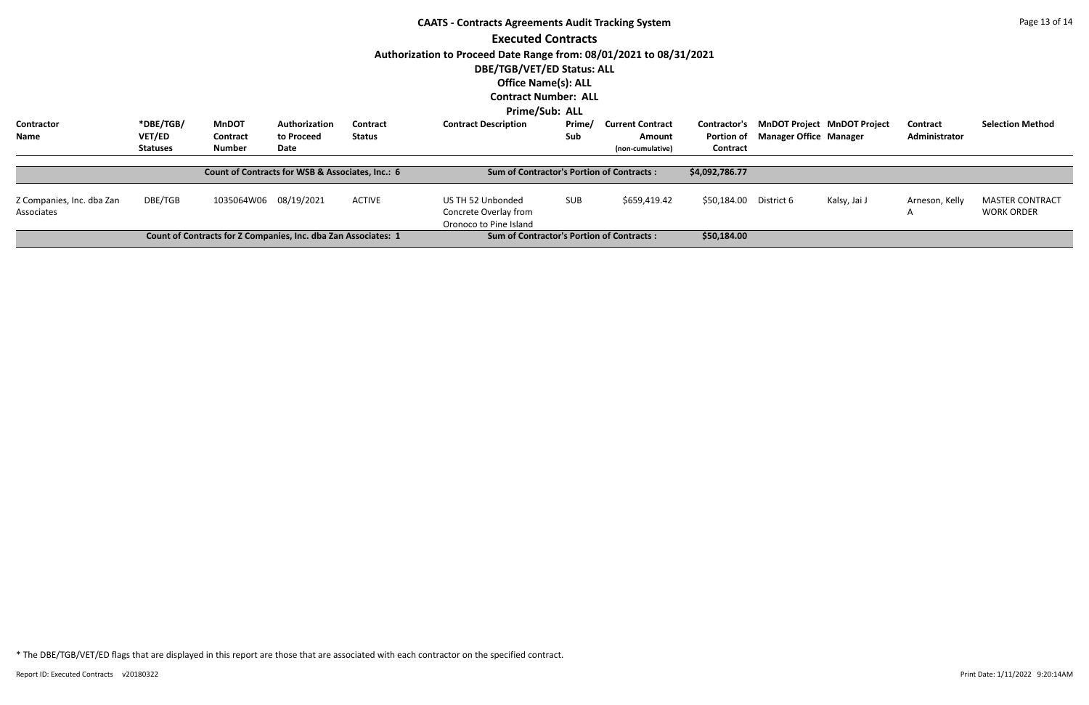|                                         |                 |                                                                |                                                  |               | <b>CAATS - Contracts Agreements Audit Tracking System</b>            |            |                         |                     |                               |                                    |                     | Page 13 of 14                               |
|-----------------------------------------|-----------------|----------------------------------------------------------------|--------------------------------------------------|---------------|----------------------------------------------------------------------|------------|-------------------------|---------------------|-------------------------------|------------------------------------|---------------------|---------------------------------------------|
|                                         |                 |                                                                |                                                  |               | <b>Executed Contracts</b>                                            |            |                         |                     |                               |                                    |                     |                                             |
|                                         |                 |                                                                |                                                  |               | Authorization to Proceed Date Range from: 08/01/2021 to 08/31/2021   |            |                         |                     |                               |                                    |                     |                                             |
|                                         |                 |                                                                |                                                  |               | DBE/TGB/VET/ED Status: ALL                                           |            |                         |                     |                               |                                    |                     |                                             |
|                                         |                 |                                                                |                                                  |               | <b>Office Name(s): ALL</b>                                           |            |                         |                     |                               |                                    |                     |                                             |
|                                         |                 |                                                                |                                                  |               | <b>Contract Number: ALL</b>                                          |            |                         |                     |                               |                                    |                     |                                             |
|                                         |                 |                                                                |                                                  |               | Prime/Sub: ALL                                                       |            |                         |                     |                               |                                    |                     |                                             |
| <b>Contractor</b>                       | *DBE/TGB/       | <b>MnDOT</b>                                                   | Authorization                                    | Contract      | <b>Contract Description</b>                                          | Prime/     | <b>Current Contract</b> | <b>Contractor's</b> |                               | <b>MnDOT Project MnDOT Project</b> | <b>Contract</b>     | <b>Selection Method</b>                     |
| Name                                    | <b>VET/ED</b>   | Contract                                                       | to Proceed                                       | <b>Status</b> |                                                                      | Sub        | <b>Amount</b>           | Portion of          | <b>Manager Office Manager</b> |                                    | Administrator       |                                             |
|                                         | <b>Statuses</b> | <b>Number</b>                                                  | Date                                             |               |                                                                      |            | (non-cumulative)        | Contract            |                               |                                    |                     |                                             |
|                                         |                 |                                                                | Count of Contracts for WSB & Associates, Inc.: 6 |               | <b>Sum of Contractor's Portion of Contracts:</b>                     |            |                         | \$4,092,786.77      |                               |                                    |                     |                                             |
| Z Companies, Inc. dba Zan<br>Associates | DBE/TGB         | 1035064W06                                                     | 08/19/2021                                       | <b>ACTIVE</b> | US TH 52 Unbonded<br>Concrete Overlay from<br>Oronoco to Pine Island | <b>SUB</b> | \$659,419.42            | \$50,184.00         | District 6                    | Kalsy, Jai J                       | Arneson, Kelly<br>A | <b>MASTER CONTRACT</b><br><b>WORK ORDER</b> |
|                                         |                 | Count of Contracts for Z Companies, Inc. dba Zan Associates: 1 |                                                  |               | <b>Sum of Contractor's Portion of Contracts:</b>                     |            |                         | \$50,184.00         |                               |                                    |                     |                                             |